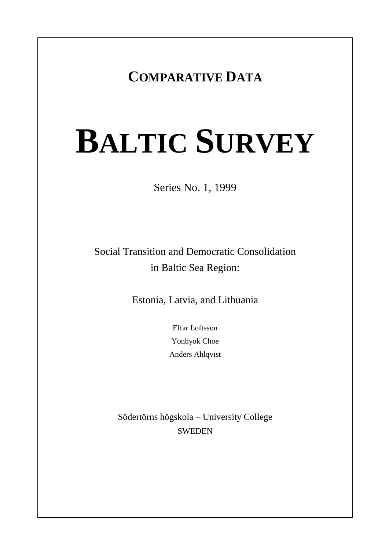# **COMPARATIVE DATA**

# **BALTIC SURVEY**

Series No. 1, 1999

Social Transition and Democratic Consolidation in Baltic Sea Region:

Estonia, Latvia, and Lithuania

Elfar Loftsson Yonhyok Choe Anders Ahlqvist

Södertörns högskola – University College **SWEDEN**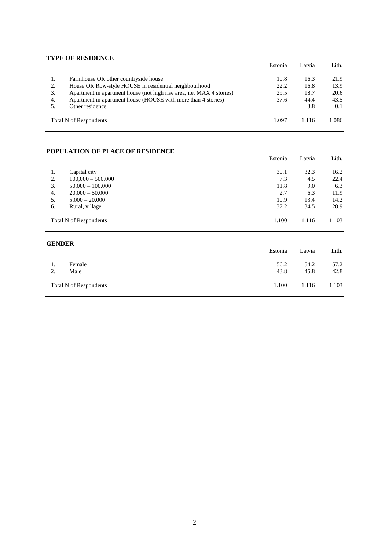#### **TYPE OF RESIDENCE**

|    | і пері Керіревсе                                                             | Estonia | Latvia | Lith. |
|----|------------------------------------------------------------------------------|---------|--------|-------|
| 1. | Farmhouse OR other countryside house                                         | 10.8    | 16.3   | 21.9  |
| 2. | House OR Row-style HOUSE in residential neighbourhood                        | 22.2    | 16.8   | 13.9  |
| 3. | Apartment in apartment house (not high rise area, <i>i.e.</i> MAX 4 stories) | 29.5    | 18.7   | 20.6  |
| 4. | Apartment in apartment house (HOUSE with more than 4 stories)                | 37.6    | 44.4   | 43.5  |
|    | Other residence                                                              |         | 3.8    | 0.1   |
|    | Total N of Respondents                                                       | 1.097   | 1.116  | 1.086 |

#### **POPULATION OF PLACE OF RESIDENCE**

|    | _____________          | Estonia | Latvia | Lith. |
|----|------------------------|---------|--------|-------|
| 1. | Capital city           | 30.1    | 32.3   | 16.2  |
| 2. | $100,000 - 500,000$    | 7.3     | 4.5    | 22.4  |
| 3. | $50,000 - 100,000$     | 11.8    | 9.0    | 6.3   |
| 4. | $20,000 - 50,000$      | 2.7     | 6.3    | 11.9  |
| 5. | $5,000 - 20,000$       | 10.9    | 13.4   | 14.2  |
| 6. | Rural, village         | 37.2    | 34.5   | 28.9  |
|    | Total N of Respondents | 1.100   | 1.116  | 1.103 |

#### **GENDER**

|          |                        | Estonia      | Latvia       | Lith.        |
|----------|------------------------|--------------|--------------|--------------|
| 1.<br>2. | Female<br>Male         | 56.2<br>43.8 | 54.2<br>45.8 | 57.2<br>42.8 |
|          | Total N of Respondents | 1.100        | 1.116        | 1.103        |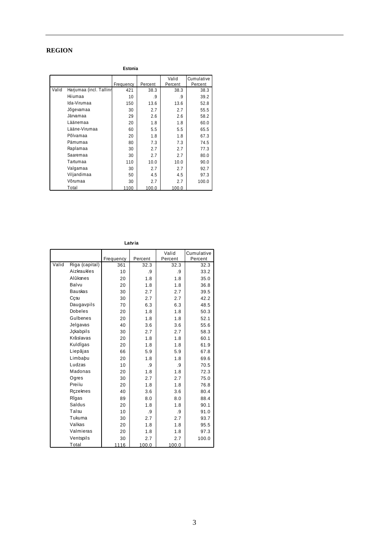#### **REGION**

**Estonia**

|       |                         |           |         | Valid   | Cumulative |
|-------|-------------------------|-----------|---------|---------|------------|
|       |                         | Frequency | Percent | Percent | Percent    |
| Valid | Harjumaa (incl. Tallinn | 421       | 38.3    | 38.3    | 38.3       |
|       | Hiiumaa                 | 10        | .9      | .9      | 39.2       |
|       | Ida-Virumaa             | 150       | 13.6    | 13.6    | 52.8       |
|       | Jõgevamaa               | 30        | 2.7     | 2.7     | 55.5       |
|       | Järvamaa                | 29        | 2.6     | 2.6     | 58.2       |
|       | Läänemaa                | 20        | 1.8     | 1.8     | 60.0       |
|       | Lääne-Virumaa           | 60        | 5.5     | 5.5     | 65.5       |
|       | Põlvamaa                | 20        | 1.8     | 1.8     | 67.3       |
|       | Pärnumaa                | 80        | 7.3     | 7.3     | 74.5       |
|       | Raplamaa                | 30        | 2.7     | 2.7     | 77.3       |
|       | Saaremaa                | 30        | 2.7     | 2.7     | 80.0       |
|       | Tartumaa                | 110       | 10.0    | 10.0    | 90.0       |
|       | Valgamaa                | 30        | 2.7     | 2.7     | 92.7       |
|       | Viljandimaa             | 50        | 4.5     | 4.5     | 97.3       |
|       | Võrumaa                 | 30        | 2.7     | 2.7     | 100.0      |
|       | Total                   | 1100      | 100.0   | 100.0   |            |

**Latvia**

|       |                |           |         | Valid   | Cumulative |
|-------|----------------|-----------|---------|---------|------------|
|       |                | Frequency | Percent | Percent | Percent    |
| Valid | Riga (capital) | 361       | 32.3    | 32.3    | 32.3       |
|       | Aizkraukles    | 10        | .9      | .9      | 33.2       |
|       | Alûksnes       | 20        | 1.8     | 1.8     | 35.0       |
|       | Balvu          | 20        | 1.8     | 1.8     | 36.8       |
|       | <b>Bauskas</b> | 30        | 2.7     | 2.7     | 39.5       |
|       | Cçsu           | 30        | 2.7     | 2.7     | 42.2       |
|       | Daugavpils     | 70        | 6.3     | 6.3     | 48.5       |
|       | <b>Dobeles</b> | 20        | 1.8     | 1.8     | 50.3       |
|       | Gulbenes       | 20        | 1.8     | 1.8     | 52.1       |
|       | Jelgavas       | 40        | 3.6     | 3.6     | 55.6       |
|       | Jckabpils      | 30        | 2.7     | 2.7     | 58.3       |
|       | Krâslavas      | 20        | 1.8     | 1.8     | 60.1       |
|       | Kuldîgas       | 20        | 1.8     | 1.8     | 61.9       |
|       | Liepâjas       | 66        | 5.9     | 5.9     | 67.8       |
|       | Limbabu        | 20        | 1.8     | 1.8     | 69.6       |
|       | Ludzas         | 10        | .9      | .9      | 70.5       |
|       | Madonas        | 20        | 1.8     | 1.8     | 72.3       |
|       | Ogres          | 30        | 2.7     | 2.7     | 75.0       |
|       | Preiïu         | 20        | 1.8     | 1.8     | 76.8       |
|       | Rczeknes       | 40        | 3.6     | 3.6     | 80.4       |
|       | Rîgas          | 89        | 8.0     | 8.0     | 88.4       |
|       | Saldus         | 20        | 1.8     | 1.8     | 90.1       |
|       | Talsu          | 10        | .9      | .9      | 91.0       |
|       | Tukuma         | 30        | 2.7     | 2.7     | 93.7       |
|       | Valkas         | 20        | 1.8     | 1.8     | 95.5       |
|       | Valmieras      | 20        | 1.8     | 1.8     | 97.3       |
|       | Ventspils      | 30        | 2.7     | 2.7     | 100.0      |
|       | Total          | 1116      | 100.0   | 100.0   |            |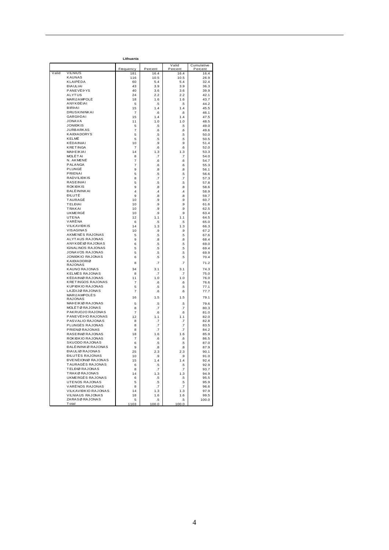| Lithuania |                                           |                     |                      |                      |              |  |  |
|-----------|-------------------------------------------|---------------------|----------------------|----------------------|--------------|--|--|
|           |                                           |                     |                      | Valid                | Cumulative   |  |  |
|           | <b>VILNIUS</b>                            | Frequency           | Percent              | Percent              | Percent      |  |  |
| Valid     | <b>KAUNAS</b>                             | 181<br>116          | 16.4<br>10.5         | 16.4<br>10.5         | 16.4<br>26.9 |  |  |
|           | KLAIPËDA                                  | 60                  | 5.4                  | 5.4                  | 32.4         |  |  |
|           | <b>ĐIA ULIAI</b>                          | 43                  | 3.9                  | 3.9                  | 36.3         |  |  |
|           | PANEVËÞYS                                 | 40                  | 3.6                  | 3.6                  | 39.9         |  |  |
|           | ALYTUS                                    | 24                  | 2.2                  | 2.2                  | 42.1         |  |  |
|           | MARIJAMPOLË                               | 18                  | 1.6                  | 1.6                  | 43.7         |  |  |
|           | ANYKĐEIAI                                 | 5                   | .5                   | .5                   | 44.2         |  |  |
|           | <b>BIRPAI</b>                             | 15                  | 1.4                  | 1.4                  | 45.5         |  |  |
|           | DRUSKININKAI<br>GARGÞDAI                  | 7<br>15             | .6                   | .6<br>1.4            | 46.1<br>47.5 |  |  |
|           | <b>JONAVA</b>                             | 11                  | 1.4<br>1.0           | 1.0                  | 48.5         |  |  |
|           | <b>JONIĐKIS</b>                           | 5                   | .5                   | .5                   | 49.0         |  |  |
|           | <b>JURBARKAS</b>                          | 7                   | .6                   | .6                   | 49.6         |  |  |
|           | <b>KAIĐIADORYS</b>                        | 5                   | .5                   | .5                   | 50.0         |  |  |
|           | KELMË                                     | 5                   | .5                   | .5                   | 50.5         |  |  |
|           | KËDAINIAI                                 | 10                  | .9                   | .9                   | 51.4         |  |  |
|           | <b>KRETINGA</b><br>MAÞEIKIAI              | 7<br>14             | .6<br>1.3            | .6                   | 52.0         |  |  |
|           | MOLËTAI                                   | 8                   | .7                   | 1.3<br>.7            | 53.3<br>54.0 |  |  |
|           | N. AKMENË                                 | 7                   | .6                   | .6                   | 54.7         |  |  |
|           | PALANGA                                   | 7                   | .6                   | .6                   | 55.3         |  |  |
|           | PLUNGE                                    | 9                   | .8                   | .8                   | 56.1         |  |  |
|           | PRIENAI                                   | 5                   | .5                   | .5                   | 56.6         |  |  |
|           | <b>RADVILIĐKIS</b>                        | 8                   | .7                   | .7                   | 57.3         |  |  |
|           | <b>RASEINIAI</b>                          | 5                   | .5                   | .5                   | 57.8         |  |  |
|           | <b>ROKIĐKIS</b><br>ĐALÈ ININKAI           | 9<br>$\overline{4}$ | .8<br>$\overline{A}$ | 8.<br>$\overline{A}$ | 58.6         |  |  |
|           | ĐILUTË                                    | 9                   | .8                   | 8.                   | 58.9<br>59.7 |  |  |
|           | TAURAGË                                   | 10                  | .9                   | .9                   | 60.7         |  |  |
|           | <b>TELĐIAI</b>                            | 10                  | .9                   | .9                   | 61.6         |  |  |
|           | <b>TRAKAI</b>                             | 10                  | .9                   | .9                   | 62.5         |  |  |
|           | <b>UKMERGË</b>                            | 10                  | 9.                   | .9                   | 63.4         |  |  |
|           | UTENA                                     | 12                  | 1.1                  | 1.1                  | 64.5         |  |  |
|           | VARËNA                                    | 6                   | .5                   | .5                   | 65.0         |  |  |
|           | VILKAVIĐKIS<br>VISAGINAS                  | 14                  | 1.3                  | 1.3                  | 66.3         |  |  |
|           | AKMENËS RAJONAS                           | 10<br>5             | .9<br>.5             | .9<br>.5             | 67.2<br>67.6 |  |  |
|           | ALYTAUS RAJONAS                           | 9                   | .8                   | .8                   | 68.4         |  |  |
|           | ANYKĐÈIØRAJONAS                           | 6                   | .5                   | .5                   | 69.0         |  |  |
|           | <b>IGNALINOS RAJONAS</b>                  | 5                   | .5                   | .5                   | 69.4         |  |  |
|           | JONAVOS RAJONAS                           | 5                   | .5                   | .5                   | 69.9         |  |  |
|           | <b>JONIĐKIO RAJONAS</b>                   | 6                   | .5                   | .5                   | 70.4         |  |  |
|           | <b>KAIĐIADORIØ</b><br><b>RAJONAS</b>      | 8                   | .7                   | .7                   | 71.2         |  |  |
|           | KAUNO RAJONAS                             | 34                  | 3.1                  | 3.1                  | 74.3         |  |  |
|           | KELMËS RAJONAS                            | 8                   | .7                   | .7                   | 75.0         |  |  |
|           | KËDAINIØ RAJONAS                          | 11                  | 1.0                  | 1.0                  | 76.0         |  |  |
|           | <b>KRETINGOS RAJONAS</b>                  | 7                   | .6                   | .6                   | 76.6         |  |  |
|           | KUPIĐKIO RAJONAS                          | 5                   | .5                   | .5                   | 77.1         |  |  |
|           | LAZDIJØ RAJONAS                           | $\overline{7}$      | .6                   | .6                   | 77.7         |  |  |
|           | MARIJAMPOLËS<br><b>RAJONAS</b>            | 16                  | 1.5                  | 1.5                  | 79.1         |  |  |
|           | MAÞEIKIØRAJONAS                           | 5                   | .5                   | .5                   | 79.6         |  |  |
|           | MOLËTØRAJONAS                             | 8                   | .7                   | .7                   | 80.3         |  |  |
|           | PAKRUOJO RAJONAS                          | 7                   | .6                   | .6                   | 81.0         |  |  |
|           | PANEVËÞIO RAJONAS                         | 12                  | 1.1                  | 1.1                  | 82.0         |  |  |
|           | PASVALIO RAJONAS                          | 8                   | .7                   | .7                   | 82.8         |  |  |
|           | PLUNGËS RAJONAS                           | 8                   | .7                   | .7                   | 83.5         |  |  |
|           | PRIENØRAJONAS                             | 8                   | .7                   | .7                   | 84.2         |  |  |
|           | RASEINIØ RAJONAS<br>ROKIĐKIO RAJONAS      | 18                  | 1.6                  | 1.6                  | 85.9         |  |  |
|           | <b>SKUODO RAJONAS</b>                     | 7<br>6              | .6<br>.5             | .6<br>.5             | 86.5<br>87.0 |  |  |
|           | ĐALÈ ININKØRAJONAS                        | 9                   | .8                   | .8                   | 87.9         |  |  |
|           | <b>ĐIAULIØ RAJONAS</b>                    | 25                  | 2.3                  | 2.3                  | 90.1         |  |  |
|           | <b><i>DILUTËS RAJONAS</i></b>             | 10                  | .9                   | .9                   | 91.0         |  |  |
|           | <b><i>DVENÉIONIØ RAJONAS</i></b>          | 15                  | 1.4                  | 1.4                  | 92.4         |  |  |
|           | TAURAGËS RAJONAS                          | 6                   | .5                   | .5                   | 92.9         |  |  |
|           | TELĐIØ RAJONAS                            | 8                   | .7                   | .7                   | 93.7         |  |  |
|           | TRAKØRAJONAS                              | 14                  | 1.3                  | 1.3                  | 94.9         |  |  |
|           | UKMERGËS RAJONAS<br><b>UTENOS RAJONAS</b> | 6<br>5              | .5                   | .5                   | 95.5         |  |  |
|           | VARËNOS RAJONAS                           | 8                   | .5<br>.7             | .5<br>.7             | 95.9<br>96.6 |  |  |
|           | VILKAVIĐKIO RAJONAS                       | 14                  | 1.3                  | 1.3                  | 97.9         |  |  |
|           | VILNIAUS RAJONAS                          | 18                  | 1.6                  | 1.6                  | 99.5         |  |  |
|           | ZARASØRAJONAS                             | 5                   | .5                   | .5                   | 100.0        |  |  |
|           | Total                                     | 1103                | 100.0                | 100.0                |              |  |  |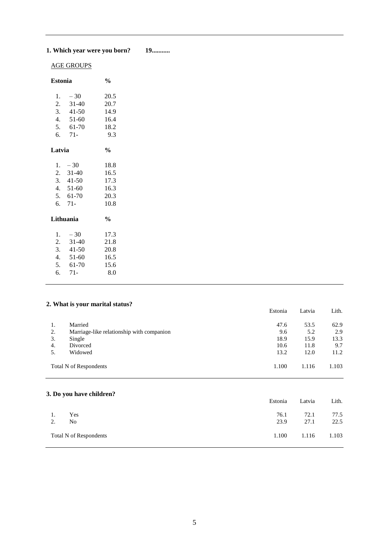# **1. Which year were you born? 19...........**

# AGE GROUPS

|                                                 | $\frac{0}{0}$                                                                                                                 |
|-------------------------------------------------|-------------------------------------------------------------------------------------------------------------------------------|
| $-30$<br>$31-40$<br>51-60<br>$71-$              | 20.5<br>20.7<br>14.9<br>16.4<br>18.2<br>9.3                                                                                   |
|                                                 | $\frac{0}{0}$                                                                                                                 |
| $-30$<br>$71-$                                  | 18.8<br>16.5<br>17.3<br>16.3<br>20.3<br>10.8                                                                                  |
|                                                 | $\frac{0}{0}$                                                                                                                 |
| $-30$<br>$31-40$<br>$41-50$<br>$51-60$<br>61-70 | 17.3<br>21.8<br>20.8<br>16.5<br>15.6<br>8.0                                                                                   |
|                                                 | Estonia<br>$3.41-50$<br>$5. 61-70$<br>Latvia<br>$2. \quad 31-40$<br>$3.41-50$<br>4. $51-60$<br>5. 61-70<br>Lithuania<br>$71-$ |

### **2. What is your marital status?**

|    |                                           | Estonia | Latvia | Lith. |
|----|-------------------------------------------|---------|--------|-------|
| 1. | Married                                   | 47.6    | 53.5   | 62.9  |
| 2. | Marriage-like relationship with companion | 9.6     | 5.2    | 2.9   |
| 3. | Single                                    | 18.9    | 15.9   | 13.3  |
| 4. | Divorced                                  | 10.6    | 11.8   | 9.7   |
| 5. | Widowed                                   | 13.2    | 12.0   | 11.2  |
|    | Total N of Respondents                    | 1.100   | 1.116  | 1.103 |
|    | 3. Do you have children?                  |         |        |       |
|    |                                           | Estonia | Latvia | Lith. |
| 1. | Yes                                       | 76.1    | 72.1   | 77.5  |
| 2. | N <sub>o</sub>                            | 23.9    | 27.1   | 22.5  |
|    | <b>Total N of Respondents</b>             | 1.100   | 1.116  | 1.103 |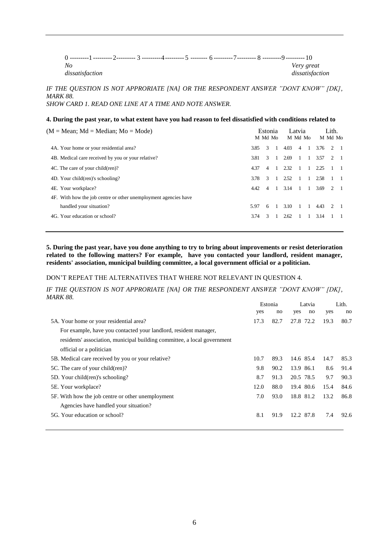| No              |  |  |  | Very great      |
|-----------------|--|--|--|-----------------|
| dissatisfaction |  |  |  | dissatisfaction |

*IF THE QUESTION IS NOT APPRORIATE [NA] OR THE RESPONDENT ANSWER "DONT KNOW" [DK], MARK 88. SHOW CARD 1. READ ONE LINE AT A TIME AND NOTE ANSWER.*

#### **4. During the past year, to what extent have you had reason to feel dissatisfied with conditions related to**

| $(M = Mean; Md = Median; Mo = Mode)$                            |      | Estonia<br>M Md Mo |                |      | Latvia<br>M Md Mo |              |      | Lith.<br>M Md Mo            |  |
|-----------------------------------------------------------------|------|--------------------|----------------|------|-------------------|--------------|------|-----------------------------|--|
| 4A. Your home or your residential area?                         | 3.85 | $\mathcal{R}$      |                | 4.03 | $\overline{4}$    | $\mathbf{1}$ | 3.76 | 2 1                         |  |
| 4B. Medical care received by you or your relative?              | 3.81 | $\mathcal{R}$      |                | 2.69 |                   | $1 \quad 1$  | 3.57 | 2 1                         |  |
| 4C. The care of your child(ren)?                                | 4.37 | $\overline{4}$     |                | 2.32 | -1                | $\mathbf{1}$ | 2.25 |                             |  |
| 4D. Your child (ren)'s schooling?                               | 3.78 | $\mathcal{R}$      |                | 2.52 | -1                |              | 2.58 |                             |  |
| 4E. Your workplace?                                             | 4.42 | $\overline{4}$     | $\blacksquare$ | 3.14 | -1                | -1           | 3.69 | 2 1                         |  |
| 4F. With how the job centre or other unemployment agencies have |      |                    |                |      |                   |              |      |                             |  |
| handled your situation?                                         | 5.97 | 6                  |                | 3.10 |                   | $\mathbf{1}$ | 4.43 | $\mathcal{D}_{\mathcal{L}}$ |  |
| 4G. Your education or school?                                   | 3.74 | $\mathcal{R}$      |                | 2.62 |                   |              | 3.14 |                             |  |
|                                                                 |      |                    |                |      |                   |              |      |                             |  |

**5. During the past year, have you done anything to try to bring about improvements or resist deterioration related to the following matters? For example, have you contacted your landlord, resident manager, residents' association, municipal building committee, a local government official or a politician.**

#### DON'T REPEAT THE ALTERNATIVES THAT WHERE NOT RELEVANT IN QUESTION 4.

*IF THE QUESTION IS NOT APPRORIATE [NA] OR THE RESPONDENT ANSWER "DONT KNOW" [DK], MARK 88.*

|                                                                          |      | Estonia<br>Latvia |           | Lith. |      |      |
|--------------------------------------------------------------------------|------|-------------------|-----------|-------|------|------|
|                                                                          | yes  | no                | yes       | no    | yes  | no   |
| 5A. Your home or your residential area?                                  | 17.3 | 82.7              | 27.8 72.2 |       | 19.3 | 80.7 |
| For example, have you contacted your landlord, resident manager,         |      |                   |           |       |      |      |
| residents' association, municipal building committee, a local government |      |                   |           |       |      |      |
| official or a politician                                                 |      |                   |           |       |      |      |
| 5B. Medical care received by you or your relative?                       | 10.7 | 89.3              | 14.6 85.4 |       | 14.7 | 85.3 |
| 5C. The care of your child(ren)?                                         | 9.8  | 90.2              | 13.9 86.1 |       | 8.6  | 91.4 |
| 5D. Your child (ren)'s schooling?                                        | 8.7  | 91.3              | 20.5 78.5 |       | 9.7  | 90.3 |
| 5E. Your workplace?                                                      | 12.0 | 88.0              | 19.4 80.6 |       | 15.4 | 84.6 |
| 5F. With how the job centre or other unemployment                        | 7.0  | 93.0              | 18.8 81.2 |       | 13.2 | 86.8 |
| Agencies have handled your situation?                                    |      |                   |           |       |      |      |
| 5G. Your education or school?                                            | 8.1  | 91.9              | 12.2 87.8 |       | 7.4  | 92.6 |
|                                                                          |      |                   |           |       |      |      |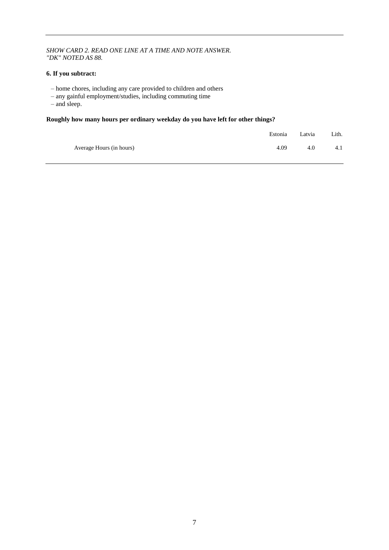#### *SHOW CARD 2. READ ONE LINE AT A TIME AND NOTE ANSWER. "DK" NOTED AS 88.*

#### **6. If you subtract:**

- home chores, including any care provided to children and others
- any gainful employment/studies, including commuting time
- and sleep.

#### **Roughly how many hours per ordinary weekday do you have left for other things?**

|                          |      | Estonia Latvia | Lith. |
|--------------------------|------|----------------|-------|
| Average Hours (in hours) | 4.09 | 4.0            | 4.1   |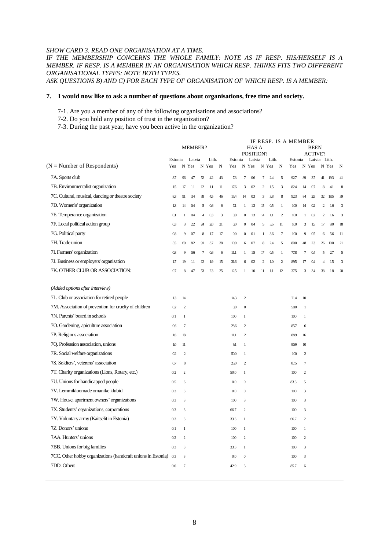#### *SHOW CARD 3. READ ONE ORGANISATION AT A TIME.*

## *IF THE MEMBERSHIP CONCERNS THE WHOLE FAMILY: NOTE AS IF RESP. HIS/HERSELF IS A MEMBER. IF RESP. IS A MEMBER IN AN ORGANISATION WHICH RESP. THINKS FITS TWO DIFFERENT ORGANISATIONAL TYPES: NOTE BOTH TYPES.*

*ASK QUESTIONS B) AND C) FOR EACH TYPE OF ORGANISATION OF WHICH RESP. IS A MEMBER:*

#### **7. I would now like to ask a number of questions about organisations, free time and society.**

- 7-1. Are you a member of any of the following organisations and associations?
- 7-2. Do you hold any position of trust in the organization?
- 7-3. During the past year, have you been active in the organization?

|                                                              |         |                | MEMBER?        |             |         |    |                |                  | HAS A<br>POSITION? |                |       |                | IF RESP. IS A MEMBER |                | <b>BEEN</b><br><b>ACTIVE?</b> |                |       |                         |
|--------------------------------------------------------------|---------|----------------|----------------|-------------|---------|----|----------------|------------------|--------------------|----------------|-------|----------------|----------------------|----------------|-------------------------------|----------------|-------|-------------------------|
|                                                              | Estonia |                | Latvia         |             | Lith.   |    | Estonia        |                  | Latvia             |                | Lith. |                | Estonia              |                | Latvia Lith.                  |                |       |                         |
| $(N =$ Number of Respondents)                                | Yes     |                | N Yes          | N           | Yes     | N  | Yes            | N                | Yes                |                | N Yes | N              | Yes                  |                | N Yes                         |                | N Yes | N                       |
| 7A. Sports club                                              | 87      | $96$           | 4.7            | 52          | 42      | 43 | 73             | $\tau$           | 0.6                | 7              | 24    | 5              | 927                  | 89             | 3.7                           | 41             | 193   | 41                      |
| 7B. Environmentalist organization                            | 1.5     | 17             | 1.1            | $12\,$      | $1.1\,$ | 11 | 17.6           | $\mathbf{3}$     | 0 <sub>2</sub>     | 2              | 15    | 3              | 824                  | 14             | 0.7                           | 8              | 4.1   | 8                       |
| 7C. Cultural, musical, dancing or theatre society            | 83      | 91             | 3.4            | 38          | 45      | 46 | 15.4           | 14               | 03                 | 3              | 38    | 8              | 923                  | 84             | 29                            | 32             | 185   | 39                      |
| 7D. Women's' organization                                    | 13      | 14             | 0 <sub>4</sub> | 5           | 0.6     | 6  | 7.1            | $\mathbf{1}$     | 13                 | 15             | 0.5   | $\mathbf{1}$   | 100                  | 14             | 02                            | $\mathfrak{2}$ | 1.6   | 3                       |
| 7E. Temperance organization                                  | 0.1     | 1              | 0 <sub>4</sub> | 4           | 03      | 3  | $00\,$         | $\boldsymbol{0}$ | 13                 | 14             | 1.1   | $\overline{c}$ | 100                  | $\mathbf{1}$   | 0.2                           | $\overline{c}$ | 1.6   | $\overline{\mathbf{3}}$ |
| 7F. Local political action group                             | 03      | 3              | 22             | 24          | 20      | 21 | $00\,$         | $\boldsymbol{0}$ | 0 <sub>4</sub>     | 5              | 55    | 11             | 100                  | 3              | 1.5                           | 17             | 9.0   | 18                      |
| 7G. Political party                                          | 0.8     | 9              | 0.7            | $\,$ 8 $\,$ | 1.7     | 17 | $00\,$         | $\boldsymbol{0}$ | 0.1                | $\mathbf{1}$   | 3.6   | $\tau$         | 100                  | 9              | 0.5                           | 6              | 5.6   | 11                      |
| 7H. Trade union                                              | 55      | $\omega$       | 82             | 91          | 3.7     | 38 | 10.0           | 6                | 0.7                | 8              | 24    | 5              | 80.0                 | 48             | 23                            | 26             | 10.0  | 21                      |
| 7I. Farmers' organization                                    | 0.8     | 9              | 0.6            | 7           | 0.6     | 6  | 11.1           | $\mathbf{1}$     | 1.5                | 17             | 0.5   | $\mathbf{1}$   | 77.8                 | 7              | 0.4                           | 5              | 27    | 5                       |
| 7J. Business or employers' organisation                      | 1.7     | 19             | 1.1            | 12          | 1.9     | 15 | 31.6           | 6                | 0.2                | $\overline{c}$ | 1.0   | $\overline{c}$ | 895                  | 17             | 0 <sub>4</sub>                | $\overline{4}$ | 15    | 3                       |
| 7K. OTHER CLUB OR ASSOCIATION:                               | 0.7     | 8              | 4.7            | 53          | 23      | 25 | 125            | 1                | 1.0                | 11             | 1.1   | 12             | 37.5                 | 3              | 3.4                           | 38             | 1.8   | $\mathfrak{D}$          |
|                                                              |         |                |                |             |         |    |                |                  |                    |                |       |                |                      |                |                               |                |       |                         |
| (Added options after interview)                              |         |                |                |             |         |    |                |                  |                    |                |       |                |                      |                |                               |                |       |                         |
| 7L. Club or association for retired people                   | 13      | 14             |                |             |         |    | 143            | $\sqrt{2}$       |                    |                |       |                | 71.4                 | 10             |                               |                |       |                         |
| 7M. Association of prevention for cruelty of children        | 0.2     | $\overline{c}$ |                |             |         |    | 0 <sub>0</sub> | $\mathbf{0}$     |                    |                |       |                | 50.0                 | $\mathbf{1}$   |                               |                |       |                         |
| 7N. Parents' board in schools                                | 0.1     | $\,1$          |                |             |         |    | 100            | $\mathbf{1}$     |                    |                |       |                | 100                  | $\,1$          |                               |                |       |                         |
| 7O. Gardening, apiculture association                        | 0.6     | $\overline{7}$ |                |             |         |    | 28.6           | $\overline{2}$   |                    |                |       |                | 85.7                 | 6              |                               |                |       |                         |
| 7P. Religious association                                    | 1.6     | 18             |                |             |         |    | 11.1           | $\overline{2}$   |                    |                |       |                | 889                  | 16             |                               |                |       |                         |
| 7Q. Profession association, unions                           | 1.0     | 11             |                |             |         |    | 9.1            | $\mathbf{1}$     |                    |                |       |                | 90.9                 | 10             |                               |                |       |                         |
| 7R. Social welfare organizations                             | 0.2     | $\overline{c}$ |                |             |         |    | 50.0           | 1                |                    |                |       |                | 100                  | $\overline{c}$ |                               |                |       |                         |
| 7S. Soldiers', veterans' association                         | 0.7     | 8              |                |             |         |    | 25.0           | $\overline{2}$   |                    |                |       |                | 875                  | $\tau$         |                               |                |       |                         |
| 7T. Charity organizations (Lions, Rotary, etc.)              | 0.2     | $\overline{c}$ |                |             |         |    | 50.0           | $\mathbf{1}$     |                    |                |       |                | 100                  | $\overline{2}$ |                               |                |       |                         |
| 7U. Unions for handicapped people                            | 0.5     | 6              |                |             |         |    | 0.0            | $\boldsymbol{0}$ |                    |                |       |                | 83.3                 | 5              |                               |                |       |                         |
| 7V. Lemmikloomade omanike klubid                             | 0.3     | 3              |                |             |         |    | 0.0            | $\mathbf{0}$     |                    |                |       |                | 100                  | 3              |                               |                |       |                         |
| 7W. House, apartment owners' organizations                   | 0.3     | 3              |                |             |         |    | 100            | 3                |                    |                |       |                | 100                  | 3              |                               |                |       |                         |
| 7X. Students' organizations, corporations                    | 0.3     | 3              |                |             |         |    | 66.7           | $\overline{c}$   |                    |                |       |                | 100                  | 3              |                               |                |       |                         |
| 7Y. Voluntary army (Kaitselit in Estonia)                    | 0.3     | 3              |                |             |         |    | 33.3           | $\mathbf{1}$     |                    |                |       |                | 66.7                 | $\overline{c}$ |                               |                |       |                         |
| 7Z. Donors' unions                                           | 0.1     | $\mathbf{1}$   |                |             |         |    | 100            | $\mathbf{1}$     |                    |                |       |                | 100                  | $\mathbf{1}$   |                               |                |       |                         |
| 7AA. Hunters' unions                                         | 0.2     | $\overline{c}$ |                |             |         |    | 100            | $\overline{c}$   |                    |                |       |                | 100                  | $\overline{c}$ |                               |                |       |                         |
| 7BB. Unions for big families                                 | 0.3     | 3              |                |             |         |    | 33.3           | $\mathbf{1}$     |                    |                |       |                | 100                  | 3              |                               |                |       |                         |
| 7CC. Other hobby organizations (handcraft unions in Estonia) | 0.3     | 3              |                |             |         |    | 0.0            | $\boldsymbol{0}$ |                    |                |       |                | 100                  | 3              |                               |                |       |                         |
| 7DD. Others                                                  | 0.6     | $\overline{7}$ |                |             |         |    | 42.9           | 3                |                    |                |       |                | 85.7                 | 6              |                               |                |       |                         |
|                                                              |         |                |                |             |         |    |                |                  |                    |                |       |                |                      |                |                               |                |       |                         |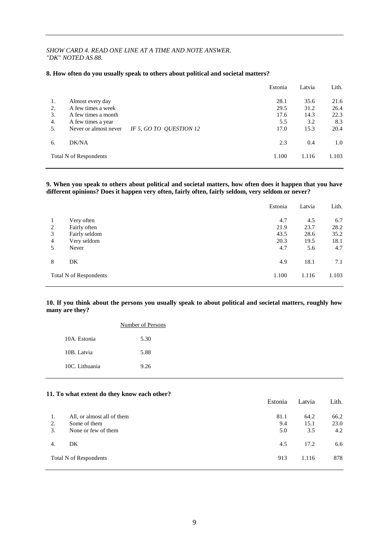#### *SHOW CARD 4. READ ONE LINE AT A TIME AND NOTE ANSWER. "DK" NOTED AS 88.*

#### **8. How often do you usually speak to others about political and societal matters?**

|    |                                                  | Estonia | Latvia | Lith. |
|----|--------------------------------------------------|---------|--------|-------|
| 1. | Almost every day                                 | 28.1    | 35.6   | 21.6  |
| 2. | A few times a week                               | 29.5    | 31.2   | 26.4  |
| 3. | A few times a month                              | 17.6    | 14.3   | 22.3  |
| 4. | A few times a year                               | 5.5     | 3.2    | 8.3   |
| 5. | Never or almost never<br>IF 5, GO TO QUESTION 12 | 17.0    | 15.3   | 20.4  |
| 6. | DK/NA                                            | 2.3     | 0.4    | 1.0   |
|    | <b>Total N of Respondents</b>                    | 1.100   | 1.116  | 1.103 |
|    |                                                  |         |        |       |

#### **9. When you speak to others about political and societal matters, how often does it happen that you have different opinions? Does it happen very often, fairly often, fairly seldom, very seldom or never?**

|                |                               | Estonia | Latvia | Lith. |
|----------------|-------------------------------|---------|--------|-------|
| 1              | Very often                    | 4.7     | 4.5    | 6.7   |
| 2              | Fairly often                  | 21.9    | 23.7   | 28.2  |
| 3              | Fairly seldom                 | 43.5    | 28.6   | 35.2  |
| $\overline{4}$ | Very seldom                   | 20.3    | 19.5   | 18.1  |
| 5              | Never                         | 4.7     | 5.6    | 4.7   |
| 8              | DK                            | 4.9     | 18.1   | 7.1   |
|                | <b>Total N of Respondents</b> | 1.100   | 1.116  | 1.103 |

#### **10. If you think about the persons you usually speak to about political and societal matters, roughly how many are they?**

|                | Number of Persons |
|----------------|-------------------|
| 10A. Estonia   | 5.30              |
| 10B. Latvia    | 5.88              |
| 10C. Lithuania | 9.26              |

#### **11. To what extent do they know each other?**

|    |                               | Estonia | Latvia | Lith. |
|----|-------------------------------|---------|--------|-------|
| 1. | All, or almost all of them    | 81.1    | 64.2   | 66.2  |
| 2. | Some of them                  | 9.4     | 15.1   | 23.0  |
| 3. | None or few of them           | 5.0     | 3.5    | 4.2   |
| 4. | DK                            | 4.5     | 17.2   | 6.6   |
|    | <b>Total N of Respondents</b> | 913     | 1.116  | 878   |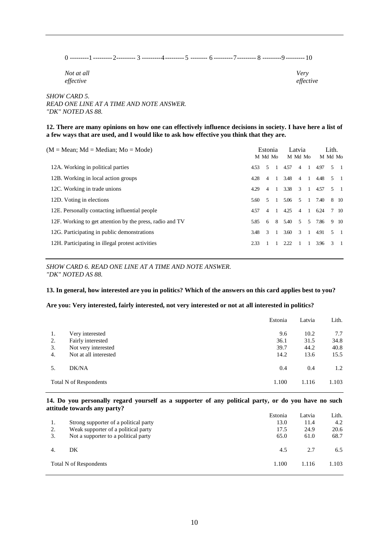0 ---------1 ---------2--------- 3 ---------4--------- 5 -------- 6 ---------7--------- 8 ---------9 --------- 10

*Not at all Very effective effective*

*SHOW CARD 5. READ ONE LINE AT A TIME AND NOTE ANSWER. "DK" NOTED AS 88.*

**12. There are many opinions on how one can effectively influence decisions in society. I have here a list of a few ways that are used, and I would like to ask how effective you think that they are.**

| $(M = Mean; Md = Median; Mo = Mode)$                     |      | Estonia<br>M Md Mo |                |        | Latvia<br>M Md Mo |                |      | Lith.<br>M Md Mo |             |
|----------------------------------------------------------|------|--------------------|----------------|--------|-------------------|----------------|------|------------------|-------------|
| 12A. Working in political parties                        | 4.53 | $\sim$             |                | 4.57   | $\overline{4}$    | - 1            | 4.97 |                  | $5 \quad 1$ |
| 12B. Working in local action groups                      | 4.28 | 4                  | $\frac{1}{2}$  | 3.48   | $\overline{4}$    | $\overline{1}$ | 4.48 |                  | $5 \quad 1$ |
| 12C. Working in trade unions                             | 4.29 | $\overline{4}$     | $\overline{1}$ | 3.38   | 3                 | $\overline{1}$ | 4.57 |                  | $5 \quad 1$ |
| 12D. Voting in elections                                 | 5.60 | $\sim$             | $\overline{1}$ | 5.06   | 5                 | $\overline{1}$ | 7.40 |                  | 8 10        |
| 12E. Personally contacting influential people            | 4.57 | $\overline{4}$     | $\overline{1}$ | 4.25   | $\overline{4}$    | $\overline{1}$ | 6.24 |                  | 7 10        |
| 12F. Working to get attention by the press, radio and TV | 5.85 | 6                  |                | 8 5.40 | .5                | .5             | 7.86 |                  | 9 10        |
| 12G. Participating in public demonstrations              | 3.48 | $\overline{3}$     | $\overline{1}$ | 3.60   | $\overline{3}$    | $\overline{1}$ | 4.91 |                  | $5 \quad 1$ |
| 12H. Participating in illegal protest activities         | 2.33 |                    |                | 2.22   |                   |                | 3.96 |                  | $3 \quad 1$ |
|                                                          |      |                    |                |        |                   |                |      |                  |             |

*SHOW CARD 6. READ ONE LINE AT A TIME AND NOTE ANSWER. "DK" NOTED AS 88.*

#### **13. In general, how interested are you in politics? Which of the answers on this card applies best to you?**

#### **Are you: Very interested, fairly interested, not very interested or not at all interested in politics?**

|                  |                               | Estonia | Latvia | Lith. |
|------------------|-------------------------------|---------|--------|-------|
| 1.               | Very interested               | 9.6     | 10.2   | 7.7   |
| 2.               | Fairly interested             | 36.1    | 31.5   | 34.8  |
| 3.               | Not very interested           | 39.7    | 44.2   | 40.8  |
| $\overline{4}$ . | Not at all interested         | 14.2    | 13.6   | 15.5  |
| .5.              | DK/NA                         | 0.4     | 0.4    | 1.2   |
|                  | <b>Total N of Respondents</b> | 1.100   | 1.116  | 1.103 |

#### **14. Do you personally regard yourself as a supporter of any political party, or do you have no such attitude towards any party?**

|                                       | Estonia | Latvia | Lith. |
|---------------------------------------|---------|--------|-------|
| Strong supporter of a political party | 13.0    | 11.4   | 4.2   |
| Weak supporter of a political party   | 17.5    | 24.9   | 20.6  |
| Not a supporter to a political party  | 65.0    | 61.0   | 68.7  |
| DK                                    | 4.5     | 2.7    | 6.5   |
| Total N of Respondents                | 1.100   | 1.116  | 1.103 |
|                                       |         |        |       |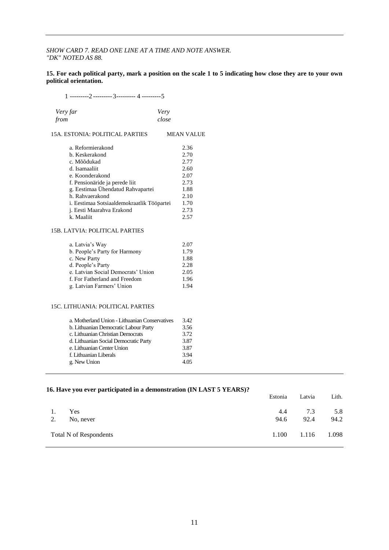#### *SHOW CARD 7. READ ONE LINE AT A TIME AND NOTE ANSWER. "DK" NOTED AS 88.*

#### **15. For each political party, mark a position on the scale 1 to 5 indicating how close they are to your own political orientation.**

1 ---------2 ---------3--------- 4 ---------5

| Very far | Very  |
|----------|-------|
| from     | close |

| 15A. ESTONIA: POLITICAL PARTIES | <b>MEAN VALUE</b> |
|---------------------------------|-------------------|
|                                 |                   |

| a. Reformierakond                          | 2.36 |
|--------------------------------------------|------|
| b. Keskerakond                             | 2.70 |
| c. Mõõdukad                                | 2.77 |
| d. Isamaaliit                              | 2.60 |
| e. Koonderakond                            | 2.07 |
| f. Pensionäride ja perede liit             | 2.73 |
| g. Eestimaa Ühendatud Rahvapartei          | 1.88 |
| h. Rahvaerakond                            | 2.10 |
| i. Eestimaa Sotsiaaldemokraatlik Tööpartei | 1.70 |
| j. Eesti Maarahva Erakond                  | 2.73 |
| k. Maaliit                                 | 2.57 |

#### 15B. LATVIA: POLITICAL PARTIES

| a. Latvia's Way                    | 2.07 |
|------------------------------------|------|
| b. People's Party for Harmony      | 1.79 |
| c. New Party                       | 1.88 |
| d. People's Party                  | 2.28 |
| e. Latvian Social Democrats' Union | 2.05 |
| f. For Fatherland and Freedom      | 1.96 |
| g. Latvian Farmers' Union          | 1.94 |

#### 15C. LITHUANIA: POLITICAL PARTIES

| a. Motherland Union - Lithuanian Conservatives | 3.42 |
|------------------------------------------------|------|
| b. Lithuanian Democratic Labour Party          | 3.56 |
| c. Lithuanian Christian Democrats              | 3.72 |
| d. Lithuanian Social Democratic Party          | 3.87 |
| e. Lithuanian Center Union                     | 3.87 |
| f. Lithuanian Liberals                         | 3.94 |
| g. New Union                                   | 4.05 |
|                                                |      |

|    | 16. Have you ever participated in a demonstration (IN LAST 5 YEARS)? | Estonia | Latvia | Lith. |
|----|----------------------------------------------------------------------|---------|--------|-------|
|    |                                                                      |         |        |       |
|    | Yes                                                                  | 4.4     | 7.3    | 5.8   |
| 2. | No, never                                                            | 94.6    | 92.4   | 94.2  |
|    | Total N of Respondents                                               | 1.100   | 1.116  | 1.098 |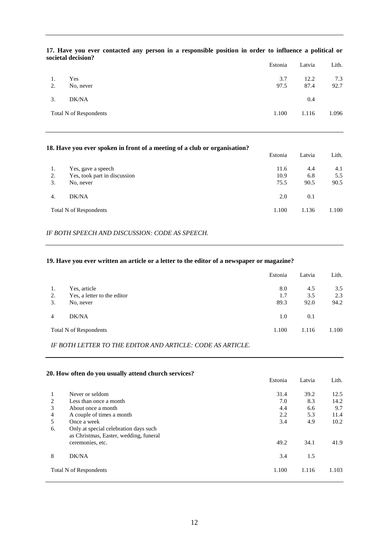|          |                               | Estonia     | Latvia       | Lith.       |
|----------|-------------------------------|-------------|--------------|-------------|
| 1.<br>2. | Yes<br>No, never              | 3.7<br>97.5 | 12.2<br>87.4 | 7.3<br>92.7 |
| 3.       | DK/NA                         |             | 0.4          |             |
|          | <b>Total N of Respondents</b> | 1.100       | 1.116        | 1.096       |

#### **17. Have you ever contacted any person in a responsible position in order to influence a political or societal decision?**

#### **18. Have you ever spoken in front of a meeting of a club or organisation?**

|    |                               | Estonia | Latvia | Lith. |
|----|-------------------------------|---------|--------|-------|
| 1. | Yes, gave a speech            | 11.6    | 4.4    | 4.1   |
| 2. | Yes, took part in discussion  | 10.9    | 6.8    | 5.5   |
| 3. | No, never                     | 75.5    | 90.5   | 90.5  |
| 4. | DK/NA                         | 2.0     | 0.1    |       |
|    | <b>Total N of Respondents</b> | 1.100   | 1.136  | 1.100 |

#### *IF BOTH SPEECH AND DISCUSSION: CODE AS SPEECH.*

#### **19. Have you ever written an article or a letter to the editor of a newspaper or magazine?**

|    |                               | Estonia | Latvia | Lith. |
|----|-------------------------------|---------|--------|-------|
| 1. | Yes, article                  | 8.0     | 4.5    | 3.5   |
| 2. | Yes, a letter to the editor   | 1.7     | 3.5    | 2.3   |
| 3. | No, never                     | 89.3    | 92.0   | 94.2  |
| 4  | DK/NA                         | 1.0     | 0.1    |       |
|    | <b>Total N of Respondents</b> | 1.100   | 1.116  | 1.100 |

*IF BOTH LETTER TO THE EDITOR AND ARTICLE: CODE AS ARTICLE.*

#### **20. How often do you usually attend church services?**

|                                                                                 | Estonia | Latvia | Lith. |
|---------------------------------------------------------------------------------|---------|--------|-------|
| Never or seldom                                                                 | 31.4    | 39.2   | 12.5  |
| Less than once a month                                                          | 7.0     | 8.3    | 14.2  |
| About once a month                                                              | 4.4     | 6.6    | 9.7   |
| A couple of times a month                                                       | 2.2     | 5.3    | 11.4  |
| Once a week                                                                     | 3.4     | 4.9    | 10.2  |
| Only at special celebration days such<br>as Christmas, Easter, wedding, funeral |         |        |       |
| ceremonies, etc.                                                                | 49.2    | 34.1   | 41.9  |
| DK/NA                                                                           | 3.4     | 1.5    |       |
| Total N of Respondents                                                          | 1.100   | 1.116  | 1.103 |
|                                                                                 |         |        |       |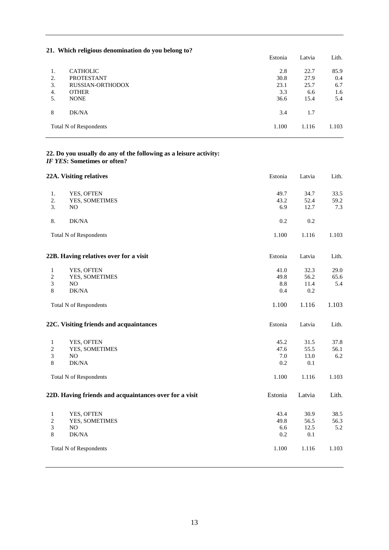|    | $\mu$ . Which religious denomination ao you belong to. | Estonia | Latvia | Lith. |
|----|--------------------------------------------------------|---------|--------|-------|
| 1. | <b>CATHOLIC</b>                                        | 2.8     | 22.7   | 85.9  |
| 2. | <b>PROTESTANT</b>                                      | 30.8    | 27.9   | 0.4   |
| 3. | <b>RUSSIAN-ORTHODOX</b>                                | 23.1    | 25.7   | 6.7   |
| 4. | <b>OTHER</b>                                           | 3.3     | 6.6    | 1.6   |
| 5. | <b>NONE</b>                                            | 36.6    | 15.4   | 5.4   |
| 8  | DK/NA                                                  | 3.4     | 1.7    |       |
|    | <b>Total N of Respondents</b>                          | 1.100   | 1.116  | 1.103 |

#### **21. Which religious denomination do you belong to?**

#### **22. Do you usually do any of the following as a leisure activity:** *IF YES***: Sometimes or often?**

|                                            | 22A. Visiting relatives                                                       | Estonia                             | Latvia                               | Lith.                        |
|--------------------------------------------|-------------------------------------------------------------------------------|-------------------------------------|--------------------------------------|------------------------------|
| 1.<br>2.<br>3.                             | YES, OFTEN<br>YES, SOMETIMES<br>N <sub>O</sub>                                | 49.7<br>43.2<br>6.9                 | 34.7<br>52.4<br>12.7                 | 33.5<br>59.2<br>7.3          |
| 8.                                         | DK/NA                                                                         | 0.2                                 | 0.2                                  |                              |
|                                            | <b>Total N of Respondents</b>                                                 | 1.100                               | 1.116                                | 1.103                        |
|                                            | 22B. Having relatives over for a visit                                        | Estonia                             | Latvia                               | Lith.                        |
| $\mathbf{1}$<br>$\sqrt{2}$<br>3<br>8       | YES, OFTEN<br>YES, SOMETIMES<br>NO.<br>DK/NA                                  | 41.0<br>49.8<br>$8.8\,$<br>0.4      | 32.3<br>56.2<br>11.4<br>0.2          | 29.0<br>65.6<br>5.4          |
|                                            | <b>Total N of Respondents</b>                                                 | 1.100                               | 1.116                                | 1.103                        |
|                                            | 22C. Visiting friends and acquaintances                                       | Estonia                             | Latvia                               | Lith.                        |
| $\mathbf{1}$<br>$\sqrt{2}$<br>3<br>$\,8\,$ | YES, OFTEN<br>YES, SOMETIMES<br>NO<br>DK/NA                                   | 45.2<br>47.6<br>7.0<br>0.2          | 31.5<br>55.5<br>13.0<br>0.1          | 37.8<br>56.1<br>6.2          |
|                                            | <b>Total N of Respondents</b>                                                 | 1.100                               | 1.116                                | 1.103                        |
|                                            | 22D. Having friends and acquaintances over for a visit                        | Estonia                             | Latvia                               | Lith.                        |
| $\mathbf{1}$<br>$\sqrt{2}$<br>3<br>$\,8\,$ | YES, OFTEN<br>YES, SOMETIMES<br>NO.<br>DK/NA<br><b>Total N of Respondents</b> | 43.4<br>49.8<br>6.6<br>0.2<br>1.100 | 30.9<br>56.5<br>12.5<br>0.1<br>1.116 | 38.5<br>56.3<br>5.2<br>1.103 |
|                                            |                                                                               |                                     |                                      |                              |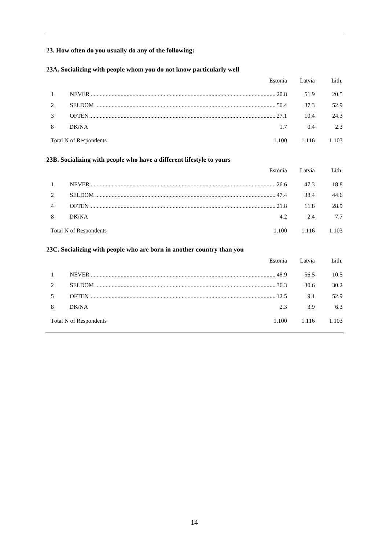#### **23. How often do you usually do any of the following:**

#### **23A. Socializing with people whom you do not know particularly well**

|                |                               |       | Estonia Latvia | Lith. |
|----------------|-------------------------------|-------|----------------|-------|
| $\mathbf{1}$   |                               |       | 51.9           | 20.5  |
| 2              |                               |       | 37.3           | 52.9  |
| $\mathcal{E}$  |                               |       | 10.4           | 24.3  |
| 8 <sup>2</sup> | DK/NA                         | 1.7   | 0.4            | 2.3   |
|                | <b>Total N of Respondents</b> | 1.100 | 1.116          | 1.103 |

#### **23B. Socializing with people who have a different lifestyle to yours**

|                |                        |       | Estonia Latvia | Lith. |
|----------------|------------------------|-------|----------------|-------|
| $\overline{1}$ |                        |       | 47.3           | 18.8  |
| $\mathcal{L}$  |                        |       | 38.4           | 44.6  |
| 4              |                        |       | 11.8           | 28.9  |
| 8              | DK/NA                  | 4.2   | 2.4            | 7.7   |
|                | Total N of Respondents | 1.100 | 1.116          | 1.103 |

#### **23C. Socializing with people who are born in another country than you**

|   |                        | Estonia | Latvia | Lith. |
|---|------------------------|---------|--------|-------|
|   |                        |         | 56.5   | 10.5  |
|   |                        | . 36.3  | 30.6   | 30.2  |
|   |                        |         | 9.1    | 52.9  |
| 8 | DK/NA                  | 2.3     | 3.9    | 6.3   |
|   | Total N of Respondents | 1.100   | 1.116  | 1.103 |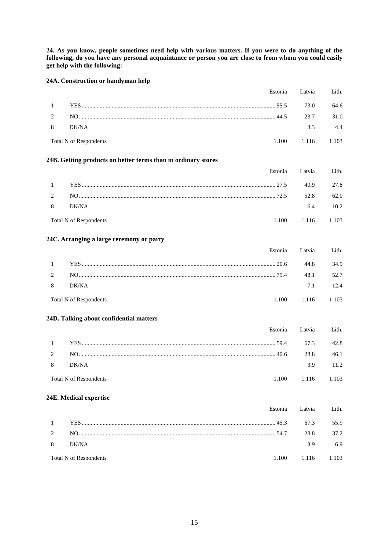**24. As you know, people sometimes need help with various matters. If you were to do anything of the following, do you have any personal acquaintance or person you are close to from whom you could easily get help with the following:**

#### **24A. Construction or handyman help**

|                                   | Estonia Latvia Lith. |      |
|-----------------------------------|----------------------|------|
|                                   | 73.0                 | 64.6 |
| 2 NO $\sim$ MO $\sim$ $\sim$ 23.7 |                      | 31.0 |
| 8 DK/NA                           | 33                   | 4.4  |
| <b>Total N of Respondents</b>     | 1.100 1.116 1.103    |      |

#### **24B. Getting products on better terms than in ordinary stores**

|                |                        |        | Estonia Latvia | Lith. |
|----------------|------------------------|--------|----------------|-------|
| $\overline{1}$ |                        | . 27.5 | 40.9           | 27.8  |
| 2              |                        | . 72.5 | 52.8           | 62.0  |
| -8             | DK/NA                  |        | 6.4            | 10.2  |
|                | Total N of Respondents | 1.100  | 1.116          | 1.103 |

#### **24C. Arranging a large ceremony or party**

|                |                        |        | Estonia Latvia | Lith. |
|----------------|------------------------|--------|----------------|-------|
| $\overline{1}$ | <b>YES</b>             | . 20.6 | 44.8           | 34.9  |
| 2              |                        | . 79.4 | 48.1           | 52.7  |
| -8             | DK/NA                  |        | 7.1            | 12.4  |
|                | Total N of Respondents | 1.100  | 1.116          | 1.103 |

#### **24D. Talking about confidential matters**

|          |                        |       | Estonia Latvia Lith. |      |
|----------|------------------------|-------|----------------------|------|
| $\sim$ 1 |                        |       | 67.3                 | 42.8 |
|          |                        |       | 28.8                 | 46.1 |
| 8        | DK/NA                  |       | 39                   | 11.2 |
|          | Total N of Respondents | 1.100 | 1.116 1.103          |      |

#### **24E. Medical expertise**

|                        | Estonia Latvia Lith. |      |
|------------------------|----------------------|------|
|                        | 67.3                 | 55.9 |
|                        | 28.8                 | 37.2 |
| 8 DK/NA                | 39                   | 6.9  |
| Total N of Respondents | 1.100 1.116 1.103    |      |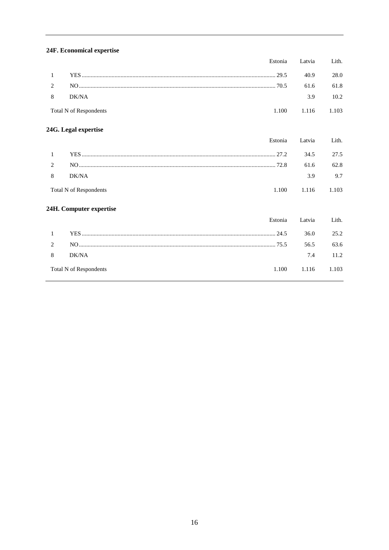#### 24F. Economical expertise

|            |                               |       | Estonia Latvia | Lith. |
|------------|-------------------------------|-------|----------------|-------|
| $1$ $\sim$ |                               |       | 40.9           | 28.0  |
|            |                               |       | 61.6           | 61.8  |
| 8          | DK/NA                         |       | 3.9            | 10.2  |
|            | <b>Total N of Respondents</b> | 1.100 | 1.116 1.103    |       |

# 24G. Legal expertise

|                | Estonia                                | Latvia | Lith. |
|----------------|----------------------------------------|--------|-------|
| 1              | 27.2                                   | 34.5   | 27.5  |
| $\overline{c}$ |                                        | 61.6   | 62.8  |
| 8              | DK/NA                                  | 3.9    | 9.7   |
|                | Total N of Respondents<br>1.100        |        | 1.103 |
|                | 24H. Computer expertise                |        |       |
|                | Estonia                                | Latvia | Lith. |
| 1              | 24.5                                   | 36.0   | 25.2  |
| 2              | 75.5                                   | 56.5   | 63.6  |
| 8              | DK/NA                                  | 7.4    | 11.2  |
|                | <b>Total N of Respondents</b><br>1.100 | 1.116  | 1.103 |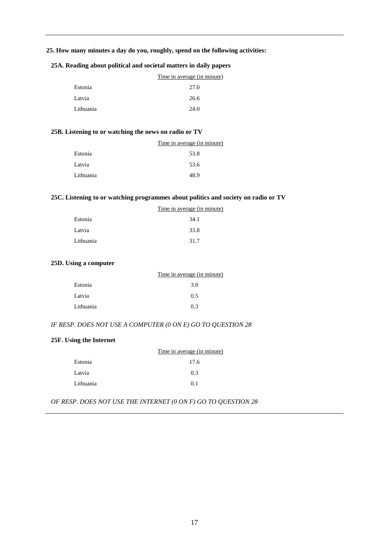#### **25. How many minutes a day do you, roughly, spend on the following activities:**

#### **25A. Reading about political and societal matters in daily papers**

|           | Time in average (in minute) |
|-----------|-----------------------------|
| Estonia   | 27.0                        |
| Latvia    | 26.6                        |
| Lithuania | 24.0                        |

#### **25B. Listening to or watching the news on radio or TV**

|           | Time in average (in minute) |
|-----------|-----------------------------|
| Estonia   | 53.8                        |
| Latvia    | 53.6                        |
| Lithuania | 48.9                        |

#### **25C. Listening to or watching programmes about politics and society on radio or TV**

| Time in average (in minute) |
|-----------------------------|
| 34.1                        |
| 33.8                        |
| 31.7                        |
|                             |

#### **25D. Using a computer**

|           | Time in average (in minute) |
|-----------|-----------------------------|
| Estonia   | 3.0                         |
| Latvia    | 0.5                         |
| Lithuania | 0.3                         |

#### *IF RESP. DOES NOT USE A COMPUTER (0 ON E) GO TO QUESTION 28*

#### **25F. Using the Internet**

|           | Time in average (in minute) |
|-----------|-----------------------------|
| Estonia   | 17.6                        |
| Latvia    | 0.3                         |
| Lithuania | 0 <sub>1</sub>              |

*OF RESP. DOES NOT USE THE INTERNET (0 ON F) GO TO QUESTION 28*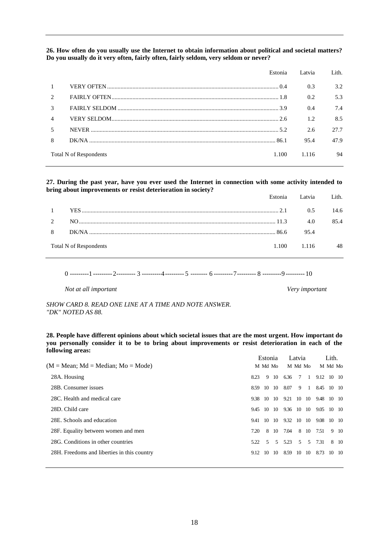**26. How often do you usually use the Internet to obtain information about political and societal matters? Do you usually do it very often, fairly often, fairly seldom, very seldom or never?**

|                          | Estonia                         | Latvia | Lith. |
|--------------------------|---------------------------------|--------|-------|
|                          |                                 | 0.3    | 3.2   |
| $\mathfrak{D}$           |                                 | 0.2    | 5.3   |
| 3                        |                                 | 0.4    | 7.4   |
| 4                        |                                 | 1.2.   | 8.5   |
| $\overline{\phantom{1}}$ |                                 | 2.6    | 27.7  |
| 8                        |                                 | 95.4   | 47.9  |
|                          | Total N of Respondents<br>1.100 | 1.116  | 94    |

**27. During the past year, have you ever used the Internet in connection with some activity intended to bring about improvements or resist deterioration in society?**

|              |                        | Estonia Latvia Lith |      |
|--------------|------------------------|---------------------|------|
| $\mathbf{1}$ |                        | 0.5                 | 14.6 |
| $2^{\circ}$  |                        | 4.0                 | 854  |
| 8            |                        | 95.4                |      |
|              | Total N of Respondents | 1.100 1.116         | 48   |

0 ---------1 ---------2--------- 3 ---------4--------- 5 -------- 6 ---------7--------- 8 ---------9 --------- 10

*Not at all important Very important*

*SHOW CARD 8. READ ONE LINE AT A TIME AND NOTE ANSWER. "DK" NOTED AS 88.*

**28. People have different opinions about which societal issues that are the most urgent. How important do you personally consider it to be to bring about improvements or resist deterioration in each of the following areas:** Estonia Latvia Lith.

|                                             |      | Estonia |                |            | Latvia         |               |            | Lith.         |      |
|---------------------------------------------|------|---------|----------------|------------|----------------|---------------|------------|---------------|------|
| $(M = Mean; Md = Median; Mo = Mode)$        |      | M Md Mo |                |            | M Md Mo        |               |            | M Md Mo       |      |
| 28A. Housing                                | 8.23 |         |                | 9 10 6.36  |                | 7 1           | 9.12 10 10 |               |      |
| 28B. Consumer issues                        | 8.59 |         | $10 \quad 10$  | 8.07       |                | 9 1           | 8.45 10 10 |               |      |
| 28C. Health and medical care                | 9.38 | 10      | - 10           | 9.21       | 10             | - 10          | 9.48       | 10 10         |      |
| 28D. Child care                             | 9.45 |         | $10 \quad 10$  | 9.36 10 10 |                |               | 9.05       | $10 \quad 10$ |      |
| 28E. Schools and education                  | 9.41 | 10      | - 10           | 9.32       | 10             | - 10          | 9.08       | $10 \quad 10$ |      |
| 28F. Equality between women and men         | 7.20 | 8       | 10             | 7.04       | 8              | 10            | 7.51       |               | 9 10 |
| 28G. Conditions in other countries          | 5.22 | .5      | $\mathfrak{L}$ | 5.23       | $\mathfrak{F}$ | $\mathcal{F}$ | 7.31       |               | 8 10 |
| 28H. Freedoms and liberties in this country | 9.12 | 10      | - 10           | 8.59       | - 10           | -10           | 8.73       | 10 10         |      |
|                                             |      |         |                |            |                |               |            |               |      |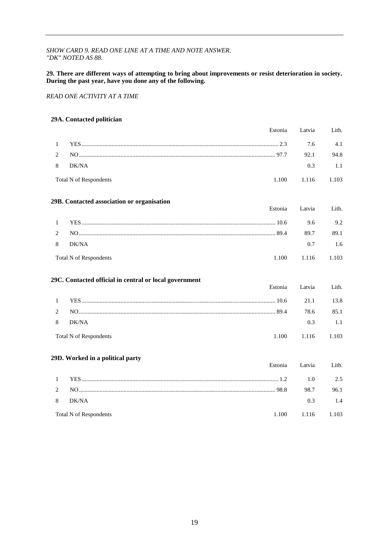#### *SHOW CARD 9. READ ONE LINE AT A TIME AND NOTE ANSWER. "DK" NOTED AS 88.*

#### **29. There are different ways of attempting to bring about improvements or resist deterioration in society. During the past year, have you done any of the following.**

*READ ONE ACTIVITY AT A TIME* 

#### **29A. Contacted politician**

|              | Estonia                                                | Latvia         | Lith. |
|--------------|--------------------------------------------------------|----------------|-------|
| $\mathbf{1}$ |                                                        | 7.6            | 4.1   |
| 2            |                                                        | 92.1           | 94.8  |
| 8            | DK/NA                                                  | 0.3            | 1.1   |
|              | <b>Total N of Respondents</b>                          | 1.100<br>1.116 | 1.103 |
|              | 29B. Contacted association or organisation             |                |       |
|              | Estonia                                                | Latvia         | Lith. |
| $\mathbf{1}$ |                                                        | 9.6            | 9.2   |
| 2            |                                                        | 89.7           | 89.1  |
| 8            | DK/NA                                                  | 0.7            | 1.6   |
|              | <b>Total N of Respondents</b>                          | 1.100<br>1.116 | 1.103 |
|              | 29C. Contacted official in central or local government |                |       |
|              | Estonia                                                | Latvia         | Lith. |
| $\mathbf{1}$ |                                                        | 21.1           | 13.8  |
| 2            |                                                        | 78.6           | 85.1  |
| 8            | DK/NA                                                  | 0.3            | 1.1   |
|              | <b>Total N of Respondents</b>                          | 1.100<br>1.116 | 1.103 |
|              | 29D. Worked in a political party                       |                |       |
|              | Estonia                                                | Latvia         | Lith. |
| 1            |                                                        | 1.0            | 2.5   |
| 2            |                                                        | 98.7           | 96.1  |

Total N of Respondents 1.100 1.116 1.103

8 DK/NA 0.3 1.4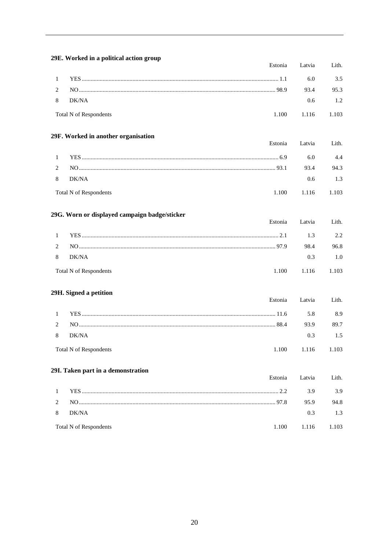|                | 29E. Worked in a political action group       |         |       |
|----------------|-----------------------------------------------|---------|-------|
|                | Estonia                                       | Latvia  | Lith. |
| $\mathbf{1}$   |                                               | 6.0     | 3.5   |
| 2              |                                               | 93.4    | 95.3  |
| 8              | DK/NA                                         | 0.6     | 1.2   |
|                | <b>Total N of Respondents</b><br>1.100        | 1.116   | 1.103 |
|                | 29F. Worked in another organisation           |         |       |
|                | Estonia                                       | Latvia  | Lith. |
| $\mathbf{1}$   |                                               | 6.0     | 4.4   |
| $\overline{c}$ |                                               | 93.4    | 94.3  |
| 8              | DK/NA                                         | 0.6     | 1.3   |
|                | <b>Total N of Respondents</b><br>1.100        | 1.116   | 1.103 |
|                | 29G. Worn or displayed campaign badge/sticker |         |       |
|                | Estonia                                       | Latvia  | Lith. |
| $\mathbf{1}$   |                                               | 1.3     | 2.2   |
| $\overline{c}$ |                                               | 98.4    | 96.8  |
| 8              | DK/NA                                         | 0.3     | 1.0   |
|                | <b>Total N of Respondents</b><br>1.100        | 1.116   | 1.103 |
|                | 29H. Signed a petition                        |         |       |
|                | Estonia                                       | Latvia  | Lith. |
| $\mathbf{1}$   |                                               | 5.8     | 8.9   |
| 2              |                                               | 93.9    | 89.7  |
| 8              | DK/NA                                         | 0.3     | 1.5   |
|                | <b>Total N of Respondents</b><br>1.100        | 1.116   | 1.103 |
|                | 29I. Taken part in a demonstration            |         |       |
|                | Estonia                                       | Latvia  | Lith. |
| $\mathbf{1}$   |                                               | 3.9     | 3.9   |
| $\overline{c}$ |                                               | 95.9    | 94.8  |
| 8              | DK/NA                                         | $0.3\,$ | 1.3   |
|                | <b>Total N of Respondents</b><br>1.100        | 1.116   | 1.103 |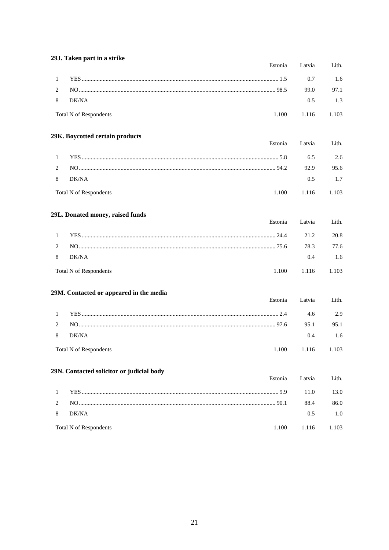#### 29J. Taken part in a strike Estonia Latvia Lith.  $\mathbf{1}$ 0.7 1.6  $\overline{2}$ 99.0 97.1 8 DK/NA  $0.5$ 1.3 Total N of Respondents 1.100 1.116 1.103 29K. Boycotted certain products Estonia Latvia Lith.  $\mathbf{1}$ 2.6 6.5  $\overline{c}$ 92.9 95.6 8 DK/NA  $1.7$  $0.5$ **Total N of Respondents** 1.100 1.116 1.103 29L. Donated money, raised funds Estonia Latvia Lith.  $\mathbf{1}$ 20.8  $21.2$  $\overline{2}$ 78.3 77.6 8 DK/NA  $0.4$ 1.6 **Total N of Respondents** 1.100 1.116 1.103 29M. Contacted or appeared in the media Estonia Latvia Lith.  $\mathbf{1}$  $4.6$ 2.9  $\overline{c}$ 95.1 95.1 8 DK/NA 0.4 1.6 1.100 1.103 **Total N of Respondents** 1.116 29N. Contacted solicitor or judicial body Estonia Lith. Latvia  $\mathbf{1}$ 11.0 13.0  $\overline{2}$ 88.4 86.0 8 DK/NA  $0.5$ 1.0 1.100 1.103 **Total N of Respondents** 1.116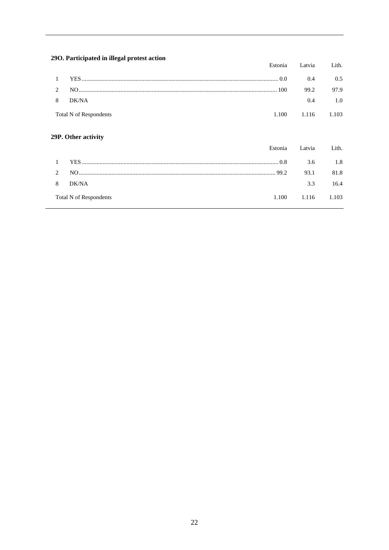# 29O. Participated in illegal protest action

| $\sim$ . I althour in megal protest action |       | Estonia Latvia | Lith. |
|--------------------------------------------|-------|----------------|-------|
|                                            |       | 0.4            | 0.5   |
|                                            |       | 99.2           | 97.9  |
| 8 DK/NA                                    |       | $0.4^{\circ}$  | 1.0   |
| <b>Total N of Respondents</b>              | 1.100 | 1.116 1.103    |       |

# 29P. Other activity

|                |                        |       | Estonia Latvia | Lith. |
|----------------|------------------------|-------|----------------|-------|
| $\overline{1}$ |                        |       | 3.6            | 1.8   |
| $\mathcal{L}$  |                        |       | 93.1           | 81.8  |
| 8              | DK/NA                  |       | 3.3            | 16.4  |
|                | Total N of Respondents | 1.100 | 1.116 1.103    |       |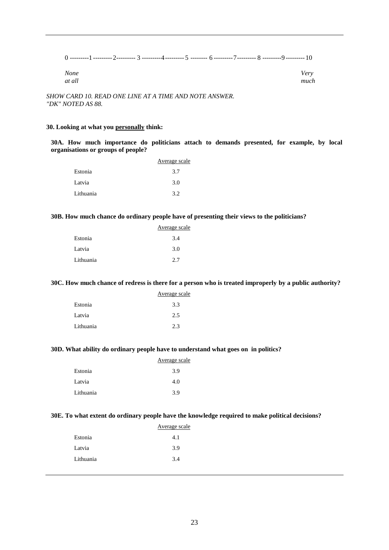| <b>None</b><br>at all |  |  | Verv<br>much |
|-----------------------|--|--|--------------|

*SHOW CARD 10. READ ONE LINE AT A TIME AND NOTE ANSWER. "DK" NOTED AS 88.*

#### **30. Looking at what you personally think:**

**30A. How much importance do politicians attach to demands presented, for example, by local organisations or groups of people?**

|           | Average scale |
|-----------|---------------|
| Estonia   | 3.7           |
| Latvia    | 3.0           |
| Lithuania | 3.2           |

#### **30B. How much chance do ordinary people have of presenting their views to the politicians?**

|           | Average scale |
|-----------|---------------|
| Estonia   | 3.4           |
| Latvia    | 3.0           |
| Lithuania | 2.7           |

#### **30C. How much chance of redress is there for a person who is treated improperly by a public authority?**

|           | Average scale |
|-----------|---------------|
| Estonia   | 3.3           |
| Latvia    | 2.5           |
| Lithuania | 2.3           |

#### **30D. What ability do ordinary people have to understand what goes on in politics?**

|           | Average scale |
|-----------|---------------|
| Estonia   | 3.9           |
| Latvia    | 4.0           |
| Lithuania | 3.9           |

#### **30E. To what extent do ordinary people have the knowledge required to make political decisions?**

|           | Average scale |
|-----------|---------------|
| Estonia   | 4.1           |
| Latvia    | 3.9           |
| Lithuania | 3.4           |
|           |               |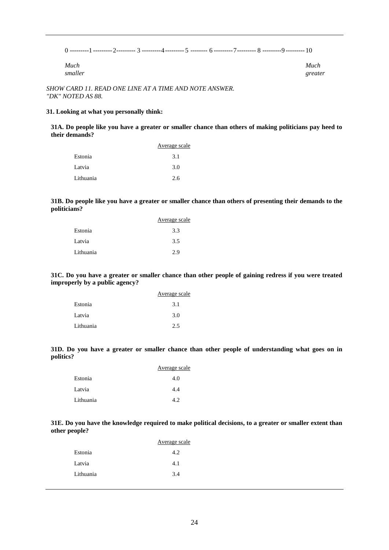0 ---------1 ---------2--------- 3 ---------4--------- 5 -------- 6 ---------7--------- 8 ---------9 --------- 10

| Much    | Much    |
|---------|---------|
| smaller | greater |

*SHOW CARD 11. READ ONE LINE AT A TIME AND NOTE ANSWER. "DK" NOTED AS 88.*

#### **31. Looking at what you personally think:**

**31A. Do people like you have a greater or smaller chance than others of making politicians pay heed to their demands?**

|           | Average scale |
|-----------|---------------|
| Estonia   | 3.1           |
| Latvia    | 3.0           |
| Lithuania | 2.6           |

**31B. Do people like you have a greater or smaller chance than others of presenting their demands to the politicians?**

|           | Average scale |
|-----------|---------------|
| Estonia   | 3.3           |
| Latvia    | 3.5           |
| Lithuania | 2.9           |

**31C. Do you have a greater or smaller chance than other people of gaining redress if you were treated improperly by a public agency?**

|           | Average scale |
|-----------|---------------|
| Estonia   | 3.1           |
| Latvia    | 3.0           |
| Lithuania | 2.5           |

**31D. Do you have a greater or smaller chance than other people of understanding what goes on in politics?**

|           | Average scale |
|-----------|---------------|
| Estonia   | 4.0           |
| Latvia    | 4.4           |
| Lithuania | 42            |

**31E. Do you have the knowledge required to make political decisions, to a greater or smaller extent than other people?**

|           | Average scale |
|-----------|---------------|
| Estonia   | 4.2.          |
| Latvia    | 4.1           |
| Lithuania | 3.4           |
|           |               |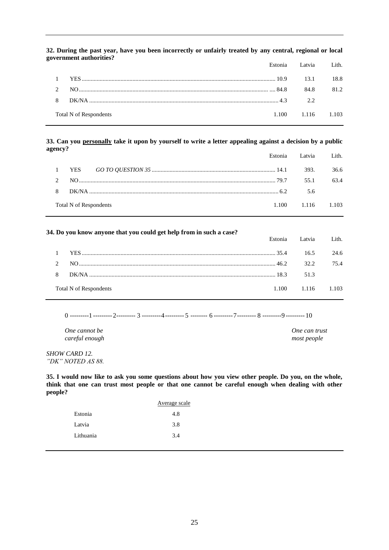|   | легищені аппистися:    | Estonia Latvia Lith. |      |
|---|------------------------|----------------------|------|
|   |                        |                      | 18.8 |
|   |                        | 84.8                 | 812  |
| 8 |                        | $\gamma$ $\gamma$    |      |
|   | Total N of Respondents | 1.100 1.116 1.103    |      |

#### **32. During the past year, have you been incorrectly or unfairly treated by any central, regional or local government authorities?**

#### **33. Can you personally take it upon by yourself to write a letter appealing against a decision by a public agency?**

|                        | Estonia Latvia Lith.              |      |
|------------------------|-----------------------------------|------|
|                        |                                   | 36.6 |
|                        | 55.1                              | 63.4 |
|                        | 5.6                               |      |
| Total N of Respondents | $1.100 \qquad 1.116 \qquad 1.103$ |      |

#### **34. Do you know anyone that you could get help from in such a case?**

|                        | Estonia Latvia Lith               |      |
|------------------------|-----------------------------------|------|
|                        |                                   | 24.6 |
| 2 NO $\frac{32.2}{2}$  |                                   | 754  |
|                        |                                   |      |
| Total N of Respondents | $1.100 \qquad 1.116 \qquad 1.103$ |      |

0 ---------1 ---------2--------- 3 ---------4--------- 5 -------- 6 ---------7--------- 8 ---------9 --------- 10

*One cannot be One can trust careful enough most people*

*SHOW CARD 12. "DK" NOTED AS 88.*

**35. I would now like to ask you some questions about how you view other people. Do you, on the whole, think that one can trust most people or that one cannot be careful enough when dealing with other people?**

|           | Average scale |
|-----------|---------------|
| Estonia   | 4.8           |
| Latvia    | 3.8           |
| Lithuania | 3.4           |
|           |               |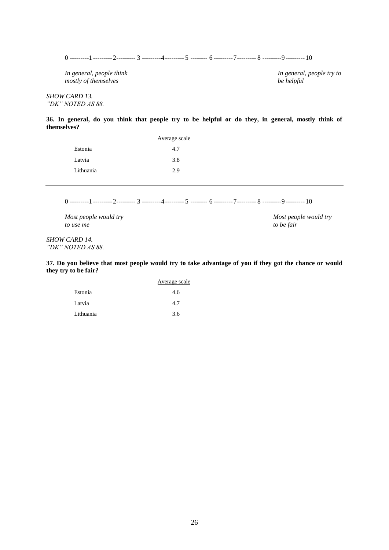0 ---------1 ---------2--------- 3 ---------4--------- 5 -------- 6 ---------7--------- 8 ---------9 --------- 10

*In general, people think In general, people try to mostly of themselves be helpful*

*SHOW CARD 13. "DK" NOTED AS 88.*

**36. In general, do you think that people try to be helpful or do they, in general, mostly think of themselves?**

|           | Average scale |
|-----------|---------------|
| Estonia   | 4.7           |
| Latvia    | 3.8           |
| Lithuania | 2.9           |

0 ---------1 ---------2--------- 3 ---------4--------- 5 -------- 6 ---------7--------- 8 ---------9 --------- 10

*to use me to be fair*

*Most people would try Most people would try* 

*SHOW CARD 14. "DK" NOTED AS 88.*

**37. Do you believe that most people would try to take advantage of you if they got the chance or would they try to be fair?**

| Average scale |
|---------------|
| 4.6           |
| 4.7           |
| 3.6           |
|               |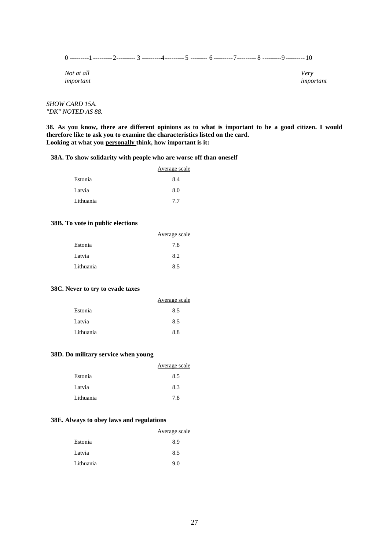0 ---------1 ---------2--------- 3 ---------4--------- 5 -------- 6 ---------7--------- 8 ---------9 --------- 10

*Not at all Very important important*

*SHOW CARD 15A. "DK" NOTED AS 88.*

**38. As you know, there are different opinions as to what is important to be a good citizen. I would therefore like to ask you to examine the characteristics listed on the card. Looking at what you personally think, how important is it:**

#### **38A. To show solidarity with people who are worse off than oneself**

|           | Average scale |
|-----------|---------------|
| Estonia   | 8.4           |
| Latvia    | 8.0           |
| Lithuania | 7.7           |

#### **38B. To vote in public elections**

|           | Average scale |
|-----------|---------------|
| Estonia   | 7.8           |
| Latvia    | 8.2           |
| Lithuania | 8.5           |
|           |               |

#### **38C. Never to try to evade taxes**

|           | Average scale |
|-----------|---------------|
| Estonia   | 8.5           |
| Latvia    | 8.5           |
| Lithuania | 8.8           |
|           |               |

#### **38D. Do military service when young**

|           | Average scale |
|-----------|---------------|
| Estonia   | 8.5           |
| Latvia    | 8.3           |
| Lithuania | 7.8           |

#### **38E. Always to obey laws and regulations**

|           | Average scale |
|-----------|---------------|
| Estonia   | 8.9           |
| Latvia    | 8.5           |
| Lithuania | 9.0           |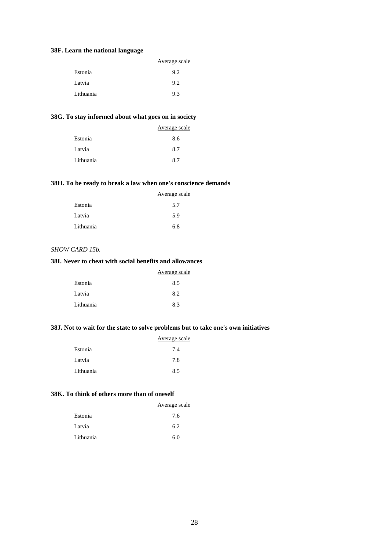#### **38F. Learn the national language**

|           | Average scale |
|-----------|---------------|
| Estonia   | 9.2           |
| Latvia    | 9.2           |
| Lithuania | 9.3           |

#### **38G. To stay informed about what goes on in society**

|           | Average scale |
|-----------|---------------|
| Estonia   | 8.6           |
| Latvia    | 8.7           |
| Lithuania | 87            |

#### **38H. To be ready to break a law when one's conscience demands**

|           | Average scale |
|-----------|---------------|
| Estonia   | 5.7           |
| Latvia    | 5.9           |
| Lithuania | 6.8           |

#### *SHOW CARD 15b.*

#### **38I. Never to cheat with social benefits and allowances**

|           | Average scale |
|-----------|---------------|
| Estonia   | 8.5           |
| Latvia    | 8.2           |
| Lithuania | 8.3           |

#### **38J. Not to wait for the state to solve problems but to take one's own initiatives**

|           | Average scale |
|-----------|---------------|
| Estonia   | 7.4           |
| Latvia    | 7.8           |
| Lithuania | 8.5           |

#### **38K. To think of others more than of oneself**

|           | Average scale |
|-----------|---------------|
| Estonia   | 7.6           |
| Latvia    | 6.2           |
| Lithuania | 6.0           |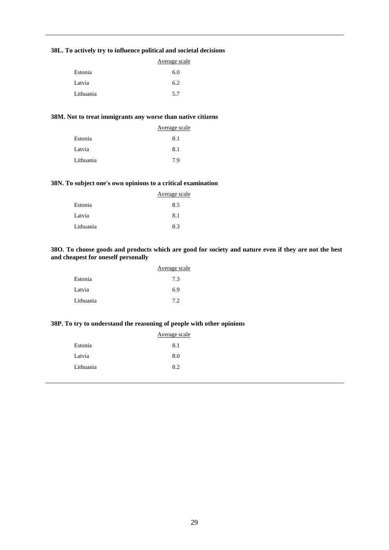#### **38L. To actively try to influence political and societal decisions**

|           | Average scale |
|-----------|---------------|
| Estonia   | 6.0           |
| Latvia    | 6.2           |
| Lithuania | 5.7           |

#### **38M. Not to treat immigrants any worse than native citizens**

|           | Average scale |
|-----------|---------------|
| Estonia   | 8.1           |
| Latvia    | 8.1           |
| Lithuania | 7.9           |

#### **38N. To subject one's own opinions to a critical examination**

|           | Average scale |
|-----------|---------------|
| Estonia   | 8.5           |
| Latvia    | 8.1           |
| Lithuania | 8.3           |

#### **38O. To choose goods and products which are good for society and nature even if they are not the best and cheapest for oneself personally**

|           | Average scale |
|-----------|---------------|
| Estonia   | 7.3           |
| Latvia    | 6.9           |
| Lithuania | 7.2           |

#### **38P. To try to understand the reasoning of people with other opinions**

|           | Average scale |
|-----------|---------------|
| Estonia   | 8.1           |
| Latvia    | 8.0           |
| Lithuania | 8.2           |
|           |               |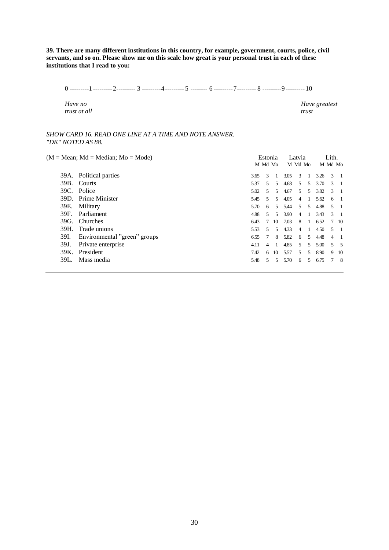**39. There are many different institutions in this country, for example, government, courts, police, civil servants, and so on. Please show me on this scale how great is your personal trust in each of these institutions that I read to you:**

0 ---------1 ---------2--------- 3 ---------4--------- 5 -------- 6 ---------7--------- 8 ---------9 --------- 10

*trust at all trust*

*Have no Have greatest Have greatest trust at all* 

#### *SHOW CARD 16. READ ONE LINE AT A TIME AND NOTE ANSWER. "DK" NOTED AS 88.*

|      | $(M = Mean; Md = Median; Mo = Mode)$ |      | Estonia<br>M Md Mo |    |      | Latvia<br>M Md Mo |                |      | Lith.<br>M Md Mo |      |
|------|--------------------------------------|------|--------------------|----|------|-------------------|----------------|------|------------------|------|
|      | 39A. Political parties               | 3.65 | 3                  |    | 3.05 | 3                 |                | 3.26 | 3                |      |
| 39B. | Courts                               | 5.37 | .5                 | 5. | 4.68 | .5                | .5             | 3.70 | $\mathcal{R}$    |      |
| 39C. | Police                               | 5.02 | 5                  | 5. | 4.67 | 5                 | 5              | 3.82 | 3                |      |
|      | 39D. Prime Minister                  | 5.45 | .5                 | 5  | 4.05 | 4                 | -1             | 5.62 | 6                |      |
| 39E. | Military                             | 5.70 | 6                  | 5  | 5.44 | 5                 | .5             | 4.88 | 5                |      |
| 39F. | Parliament                           | 4.88 | $5^{\circ}$        | .5 | 3.90 | 4                 | -1             | 3.43 | $\mathcal{R}$    |      |
| 39G. | <b>Churches</b>                      | 6.43 | 7                  | 10 | 7.03 | 8                 | $\overline{1}$ | 6.52 |                  | 7 10 |
| 39H. | Trade unions                         | 5.53 | $\sim$             | 5. | 4.33 | 4                 | -1             | 4.50 | 5                |      |
| 39I. | Environmental "green" groups         | 6.55 | 7                  | 8  | 5.82 | 6                 | .5             | 4.48 | 4                |      |
| 39J. | Private enterprise                   | 4.11 | $\overline{4}$     |    | 4.85 | .5                | 5              | 5.00 | 5.               | - 5  |
| 39K. | President                            | 7.42 | 6                  | 10 | 5.57 | 5                 | 5              | 8.90 | 9                | -10  |
| 39L. | Mass media                           | 5.48 | 5                  | 5  | 5.70 | 6                 | .5             | 6.75 |                  | - 8  |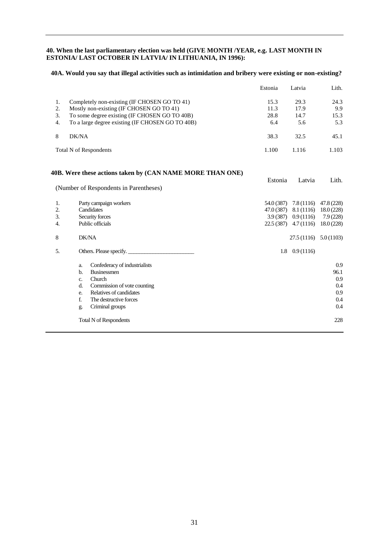#### **40. When the last parliamentary election was held (GIVE MONTH /YEAR, e.g. LAST MONTH IN ESTONIA/ LAST OCTOBER IN LATVIA/ IN LITHUANIA, IN 1996):**

#### **40A. Would you say that illegal activities such as intimidation and bribery were existing or non-existing?**

|         |                                                           | Estonia    | Latvia                   | Lith.      |
|---------|-----------------------------------------------------------|------------|--------------------------|------------|
| 1.      | Completely non-existing (IF CHOSEN GO TO 41)              | 15.3       | 29.3                     | 24.3       |
| 2.      | Mostly non-existing (IF CHOSEN GO TO 41)                  | 11.3       | 17.9                     | 9.9        |
| 3.      | To some degree existing (IF CHOSEN GO TO 40B)             | 28.8       | 14.7                     | 15.3       |
| 4.      | To a large degree existing (IF CHOSEN GO TO 40B)          | 6.4        | 5.6                      | 5.3        |
| 8       | DK/NA                                                     | 38.3       | 32.5                     | 45.1       |
|         | <b>Total N of Respondents</b>                             | 1.100      | 1.116                    | 1.103      |
|         | 40B. Were these actions taken by (CAN NAME MORE THAN ONE) |            |                          |            |
|         |                                                           | Estonia    | Latvia                   | Lith.      |
|         | (Number of Respondents in Parentheses)                    |            |                          |            |
| 1.      | Party campaign workers                                    | 54.0 (387) | 7.8(1116)                | 47.8 (228) |
| 2.      | Candidates                                                | 47.0 (387) | 8.1 (1116)               | 18.0(228)  |
| 3.      | Security forces                                           | 3.9(387)   | 0.9(1116)                | 7.9(228)   |
| 4.      | Public officials                                          | 22.5 (387) | 4.7(1116)                | 18.0(228)  |
| $\,8\,$ | DK/NA                                                     |            | $27.5(1116)$ $5.0(1103)$ |            |
| 5.      | Others. Please specify.                                   |            | $1.8 \quad 0.9(1116)$    |            |
|         | Confederacy of industrialists<br>a.                       |            |                          | 0.9        |
|         | <b>Businessmen</b><br>$b$                                 |            |                          | 96.1       |
|         | Church<br>c.                                              |            |                          | 0.9        |
|         | Commission of vote counting<br>d.                         |            |                          | 0.4        |
|         | Relatives of candidates<br>e.                             |            |                          | 0.9        |
|         | f.<br>The destructive forces                              |            |                          | 0.4        |
|         | Criminal groups<br>g.                                     |            |                          | 0.4        |
|         | <b>Total N of Respondents</b>                             |            |                          | 228        |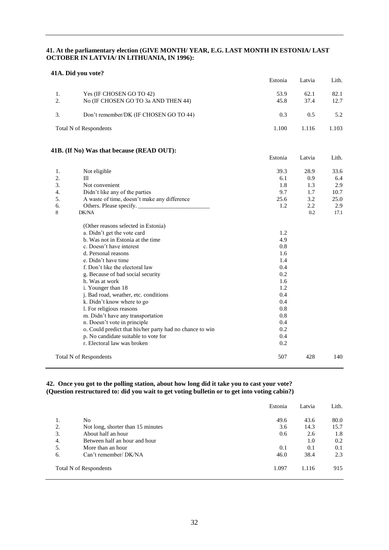#### **41. At the parliamentary election (GIVE MONTH/ YEAR, E.G. LAST MONTH IN ESTONIA/ LAST OCTOBER IN LATVIA/ IN LITHUANIA, IN 1996):**

#### **41A. Did you vote?**

|    |                                                          | Estonia | Latvia | Lith. |
|----|----------------------------------------------------------|---------|--------|-------|
| 1. | Yes (IF CHOSEN GO TO 42)                                 | 53.9    | 62.1   | 82.1  |
| 2. | No (IF CHOSEN GO TO 3a AND THEN 44)                      | 45.8    | 37.4   | 12.7  |
| 3. | Don't remember/DK (IF CHOSEN GO TO 44)                   | 0.3     | 0.5    | 5.2   |
|    | <b>Total N of Respondents</b>                            | 1.100   | 1.116  | 1.103 |
|    | 41B. (If No) Was that because (READ OUT):                |         |        |       |
|    |                                                          | Estonia | Latvia | Lith. |
| 1. | Not eligible                                             | 39.3    | 28.9   | 33.6  |
| 2. | Ш                                                        | 6.1     | 0.9    | 6.4   |
| 3. | Not convenient                                           | 1.8     | 1.3    | 2.9   |
| 4. | Didn't like any of the parties                           | 9.7     | 1.7    | 10.7  |
| 5. | A waste of time, doesn't make any difference             | 25.6    | 3.2    | 25.0  |
| 6. |                                                          | 1.2     | 2.2    | 2.9   |
| 8  | DK/NA                                                    |         | 0.2    | 17.1  |
|    | (Other reasons selected in Estonia)                      |         |        |       |
|    | a. Didn't get the vote card                              | 1.2     |        |       |
|    | b. Was not in Estonia at the time                        | 4.9     |        |       |
|    | c. Doesn't have interest                                 | 0.8     |        |       |
|    | d. Personal reasons                                      | 1.6     |        |       |
|    | e. Didn't have time                                      | 1.4     |        |       |
|    | f. Don't like the electoral law                          | 0.4     |        |       |
|    | g. Because of bad social security                        | 0.2     |        |       |
|    | h. Was at work                                           | 1.6     |        |       |
|    | i. Younger than 18                                       | 1.2     |        |       |
|    | j. Bad road, weather, etc. conditions                    | 0.4     |        |       |
|    | k. Didn't know where to go                               | 0.4     |        |       |
|    | 1. For religious reasons                                 | 0.8     |        |       |
|    | m. Didn't have any transportation                        | 0.8     |        |       |
|    | n. Doesn't vote in principle                             | 0.4     |        |       |
|    | o. Could predict that his/her party had no chance to win | 0.2     |        |       |
|    | p. No candidate suitable to vote for                     | 0.4     |        |       |
|    | r. Electoral law was broken                              | 0.2     |        |       |
|    | <b>Total N of Respondents</b>                            | 507     | 428    | 140   |

#### **42. Once you got to the polling station, about how long did it take you to cast your vote? (Question restructured to: did you wait to get voting bulletin or to get into voting cabin?)**

|    |                                   | Estonia | Latvia | Lith. |
|----|-----------------------------------|---------|--------|-------|
| ., | N <sub>0</sub>                    | 49.6    | 43.6   | 80.0  |
| 2. | Not long, shorter than 15 minutes | 3.6     | 14.3   | 15.7  |
| 3. | About half an hour                | 0.6     | 2.6    | 1.8   |
| 4. | Between half an hour and hour     |         | 1.0    | 0.2   |
| 5. | More than an hour                 | 0.1     | 0.1    | 0.1   |
| 6. | Can't remember/ DK/NA             | 46.0    | 38.4   | 2.3   |
|    | <b>Total N of Respondents</b>     | 1.097   | 1.116  | 915   |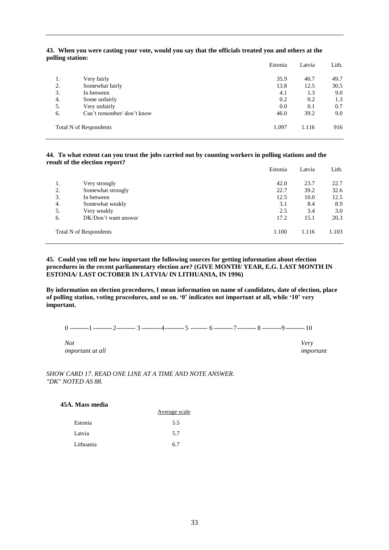#### **43. When you were casting your vote, would you say that the officials treated you and others at the polling station:**

|    |                               | Estonia | Latvia | Lith. |
|----|-------------------------------|---------|--------|-------|
| 1. | Very fairly                   | 35.9    | 46.7   | 49.7  |
| 2. | Somewhat fairly               | 13.8    | 12.5   | 30.5  |
| 3. | In between                    | 4.1     | 1.3    | 9.0   |
| 4. | Some unfairly                 | 0.2     | 0.2    | 1.3   |
| 5. | Very unfairly                 | 0.0     | 0.1    | 0.7   |
| 6. | Can't remember/ don't know    | 46.0    | 39.2   | 9.0   |
|    | <b>Total N of Respondents</b> | 1.097   | 1.116  | 916   |

#### **44. To what extent can you trust the jobs carried out by counting workers in polling stations and the result of the election report?**

|    |                               | Estonia | Latvia | Lith. |
|----|-------------------------------|---------|--------|-------|
| 1. | Very strongly                 | 42.0    | 23.7   | 22.7  |
| 2. | Somewhat strongly             | 22.7    | 39.2   | 32.6  |
| 3. | In between                    | 12.5    | 10.0   | 12.5  |
| 4. | Somewhat weakly               | 3.1     | 8.4    | 8.9   |
| 5. | Very weakly                   | 2.5     | 3.4    | 3.0   |
| 6. | DK/Don't want answer          | 17.2    | 15.1   | 20.3  |
|    | <b>Total N of Respondents</b> | 1.100   | 1.116  | 1.103 |

#### **45. Could you tell me how important the following sources for getting information about election procedures in the recent parliamentary election are? (GIVE MONTH/ YEAR, E.G. LAST MONTH IN ESTONIA/ LAST OCTOBER IN LATVIA/ IN LITHUANIA, IN 1996)**

**By information on election procedures, I mean information on name of candidates, date of election, place of polling station, voting procedures, and so on. '0' indicates not important at all, while '10' very important.**

0 ---------1 ---------2--------- 3 ---------4--------- 5 -------- 6 ---------7--------- 8 ---------9 --------- 10

*Not Very important at all important*

*SHOW CARD 17. READ ONE LINE AT A TIME AND NOTE ANSWER. "DK" NOTED AS 88.*

**45A. Mass media**

|           | Average scale |
|-----------|---------------|
| Estonia   | 5.5           |
| Latvia    | 5.7           |
| Lithuania | 6.7           |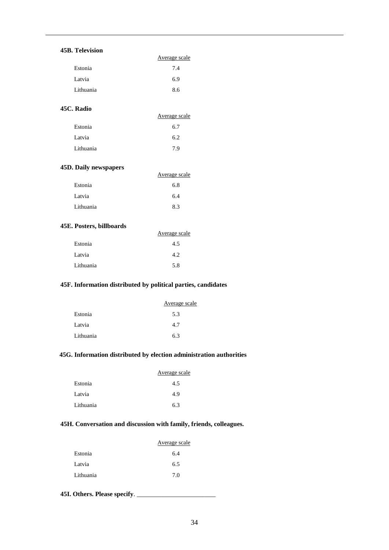#### **45B. Television**

| . Television |               |
|--------------|---------------|
|              | Average scale |
| Estonia      | 7.4           |
| Latvia       | 6.9           |
| Lithuania    | 8.6           |

#### **45C. Radio**

|           | Average scale |
|-----------|---------------|
| Estonia   | 6.7           |
| Latvia    | 6.2           |
| Lithuania | 7.9           |

#### **45D. Daily newspapers**

| . . <u>.</u> <b>.</b> | Average scale |
|-----------------------|---------------|
| Estonia               | 6.8           |
| Latvia                | 6.4           |
| Lithuania             | 8.3           |

#### **45E. Posters, billboards**

|           | Average scale |
|-----------|---------------|
| Estonia   | 4.5           |
| Latvia    | 4.2           |
| Lithuania | 5.8           |

#### **45F. Information distributed by political parties, candidates**

|           | Average scale |
|-----------|---------------|
| Estonia   | 5.3           |
| Latvia    | 4.7           |
| Lithuania | 6.3           |

#### **45G. Information distributed by election administration authorities**

|           | Average scale |
|-----------|---------------|
| Estonia   | 4.5           |
| Latvia    | 4.9           |
| Lithuania | 6.3           |

#### **45H. Conversation and discussion with family, friends, colleagues.**

|           | Average scale |
|-----------|---------------|
| Estonia   | 6.4           |
| Latvia    | 6.5           |
| Lithuania | 7.0           |

**45I. Others. Please specify**. \_\_\_\_\_\_\_\_\_\_\_\_\_\_\_\_\_\_\_\_\_\_\_\_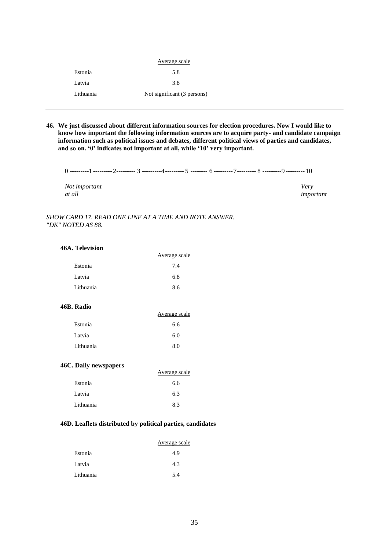|           | Average scale               |
|-----------|-----------------------------|
| Estonia   | 5.8                         |
| Latvia    | 3.8                         |
| Lithuania | Not significant (3 persons) |

**46. We just discussed about different information sources for election procedures. Now I would like to know how important the following information sources are to acquire party- and candidate campaign information such as political issues and debates, different political views of parties and candidates, and so on. '0' indicates not important at all, while '10' very important.**

0 ---------1 ---------2--------- 3 ---------4--------- 5 -------- 6 ---------7--------- 8 ---------9 --------- 10

*Not important Very at all important*

#### *SHOW CARD 17. READ ONE LINE AT A TIME AND NOTE ANSWER. "DK" NOTED AS 88.*

#### **46A. Television**

|           | Average scale |
|-----------|---------------|
| Estonia   | 7.4           |
| Latvia    | 6.8           |
| Lithuania | 8.6           |
|           |               |

#### **46B. Radio**

|           | Average scale |
|-----------|---------------|
| Estonia   | 6.6           |
| Latvia    | 6.0           |
| Lithuania | 8.0           |

#### **46C. Daily newspapers**

|           | Average scale |
|-----------|---------------|
| Estonia   | 6.6           |
| Latvia    | 6.3           |
| Lithuania | 8.3           |

#### **46D. Leaflets distributed by political parties, candidates**

|           | Average scale |
|-----------|---------------|
| Estonia   | 4.9           |
| Latvia    | 4.3           |
| Lithuania | 5.4           |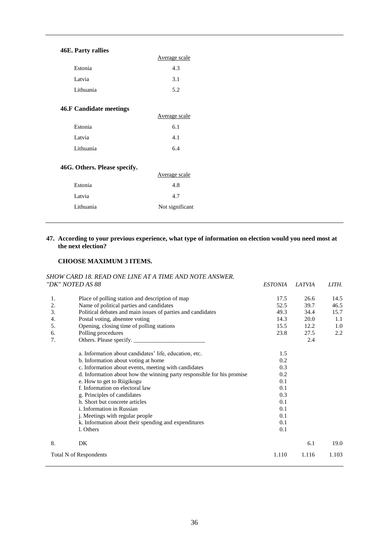#### **46E. Party rallies**

|           | Average scale |
|-----------|---------------|
| Estonia   | 4.3           |
| Latvia    | 3.1           |
| Lithuania | 5.2           |

#### **46.F Candidate meetings**

|           | Average scale |
|-----------|---------------|
| Estonia   | 6.1           |
| Latvia    | 4.1           |
| Lithuania | 6.4           |

#### **46G. Others. Please specify.**

|           | Average scale   |
|-----------|-----------------|
| Estonia   | 4.8             |
| Latvia    | 4.7             |
| Lithuania | Not significant |
|           |                 |

#### **47. According to your previous experience, what type of information on election would you need most at the next election?**

#### **CHOOSE MAXIMUM 3 ITEMS.**

#### *SHOW CARD 18. READ ONE LINE AT A TIME AND NOTE ANSWER. "DK" NOTED AS 88 ESTONIA LATVIA LITH.*

| 1. | Place of polling station and description of map                        | 17.5  | 26.6  | 14.5  |
|----|------------------------------------------------------------------------|-------|-------|-------|
| 2. | Name of political parties and candidates                               | 52.5  | 39.7  | 46.5  |
| 3. | Political debates and main issues of parties and candidates            | 49.3  | 34.4  | 15.7  |
| 4. | Postal voting, absentee voting                                         | 14.3  | 20.0  | 1.1   |
| 5. | Opening, closing time of polling stations                              | 15.5  | 12.2  | 1.0   |
| 6. | Polling procedures                                                     | 23.8  | 27.5  | 2.2   |
| 7. |                                                                        |       | 2.4   |       |
|    | a. Information about candidates' life, education, etc.                 | 1.5   |       |       |
|    | b. Information about voting at home                                    | 0.2   |       |       |
|    | c. Information about events, meeting with candidates                   | 0.3   |       |       |
|    | d. Information about how the winning party responsible for his promise | 0.2   |       |       |
|    | e. How to get to Riigikogu                                             | 0.1   |       |       |
|    | f. Information on electoral law                                        | 0.1   |       |       |
|    | g. Principles of candidates                                            | 0.3   |       |       |
|    | h. Short but concrete articles                                         | 0.1   |       |       |
|    | <i>i</i> . Information in Russian                                      | 0.1   |       |       |
|    | <i>i</i> . Meetings with regular people                                | 0.1   |       |       |
|    | k. Information about their spending and expenditures                   | 0.1   |       |       |
|    | l. Others                                                              | 0.1   |       |       |
| 8. | DK                                                                     |       | 6.1   | 19.0  |
|    | <b>Total N of Respondents</b>                                          | 1.110 | 1.116 | 1.103 |
|    |                                                                        |       |       |       |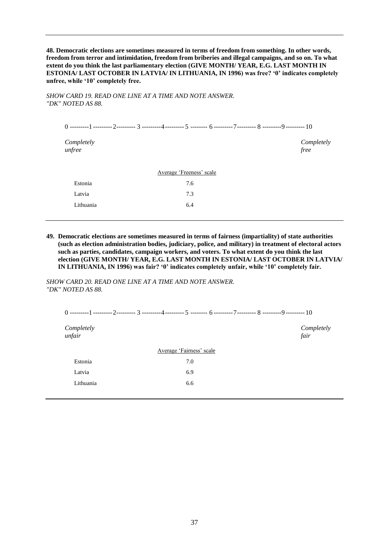**48. Democratic elections are sometimes measured in terms of freedom from something. In other words, freedom from terror and intimidation, freedom from briberies and illegal campaigns, and so on. To what extent do you think the last parliamentary election (GIVE MONTH/ YEAR, E.G. LAST MONTH IN ESTONIA/ LAST OCTOBER IN LATVIA/ IN LITHUANIA, IN 1996) was free? '0' indicates completely unfree, while '10' completely free.**

*SHOW CARD 19. READ ONE LINE AT A TIME AND NOTE ANSWER. "DK" NOTED AS 88.*

| Completely<br>unfree |                          |  | Completely<br>free |
|----------------------|--------------------------|--|--------------------|
|                      | Average 'Freeness' scale |  |                    |
| Estonia              | 7.6                      |  |                    |
| Latvia               | 7.3                      |  |                    |
| Lithuania            | 6.4                      |  |                    |

**49. Democratic elections are sometimes measured in terms of fairness (impartiality) of state authorities (such as election administration bodies, judiciary, police, and military) in treatment of electoral actors such as parties, candidates, campaign workers, and voters. To what extent do you think the last election (GIVE MONTH/ YEAR, E.G. LAST MONTH IN ESTONIA/ LAST OCTOBER IN LATVIA/ IN LITHUANIA, IN 1996) was fair? '0' indicates completely unfair, while '10' completely fair.**

*SHOW CARD 20. READ ONE LINE AT A TIME AND NOTE ANSWER. "DK" NOTED AS 88.*

| Completely<br>unfair |                          | Completely<br>fair |  |  |
|----------------------|--------------------------|--------------------|--|--|
|                      | Average 'Fairness' scale |                    |  |  |
| Estonia              | 7.0                      |                    |  |  |
| Latvia               | 6.9                      |                    |  |  |
| Lithuania            | 6.6                      |                    |  |  |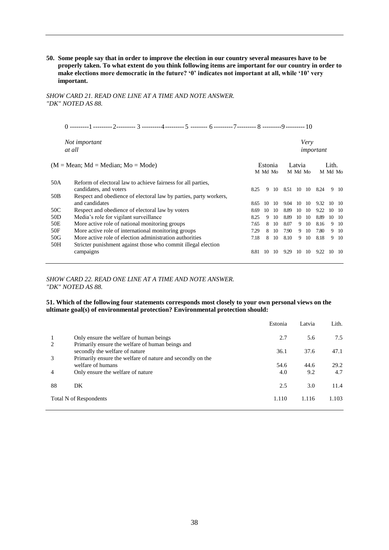**50. Some people say that in order to improve the election in our country several measures have to be properly taken. To what extent do you think following items are important for our country in order to make elections more democratic in the future? '0' indicates not important at all, while '10' very important.**

#### *SHOW CARD 21. READ ONE LINE AT A TIME AND NOTE ANSWER. "DK" NOTED AS 88.*

| ---------<br>,<br>----------<br>----------<br>---------- |  |
|----------------------------------------------------------|--|
|----------------------------------------------------------|--|

*Not important Very at all important* (M = Mean; Md = Median; Mo = Mode) Estonia Latvia Lith.<br>
M Md Mo M Md Mo M Md Mo M Md Mo 50A Reform of electoral law to achieve fairness for all parties, candidates, and voters 8.25 9 10 8.51 10 10 8.24 9 10 50B Respect and obedience of electoral law by parties, party workers, and candidates 8.65 10 10 9.04 10 10 9.32 10 10 9.32 10 10 50C Respect and obedience of electoral law by voters 8.69 10 10 8.89 10 10 9.22 10 10<br>50D Media's role for vigilant surveillance 8.25 9 10 8.89 10 10 8.89 10 10 50D Media's role for vigilant surveillance<br>
50E More active role of national monitoring groups<br>
50E More active role of national monitoring groups<br>
50E More active role of national monitoring groups<br>
50E More active role o More active role of national monitoring groups 7.65 8 10 8.07 9 10 8.16 9 10 50F More active role of international monitoring groups 7.29 8 10 7.90 9 10 7.80 9 10 50G More active role of election administration authorities 7.18 8 10 8.10 9 10 8.18 9 10<br>50H Stricter punishment against those who commit illegal election Stricter punishment against those who commit illegal election campaigns campaigns 8.81 10 10 9.29 10 10 9.22 10 10

#### *SHOW CARD 22. READ ONE LINE AT A TIME AND NOTE ANSWER. "DK" NOTED AS 88.*

#### **51. Which of the following four statements corresponds most closely to your own personal views on the ultimate goal(s) of environmental protection? Environmental protection should:**

|    |                                                                                    | Estonia | Latvia | Lith. |
|----|------------------------------------------------------------------------------------|---------|--------|-------|
| 1  | Only ensure the welfare of human beings                                            | 2.7     | 5.6    | 7.5   |
| 2  | Primarily ensure the welfare of human beings and<br>secondly the welfare of nature | 36.1    | 37.6   | 47.1  |
| 3  | Primarily ensure the welfare of nature and secondly on the<br>welfare of humans    | 54.6    | 44.6   | 29.2  |
| 4  | Only ensure the welfare of nature                                                  | 4.0     | 9.2    | 4.7   |
| 88 | DK                                                                                 | 2.5     | 3.0    | 11.4  |
|    | Total N of Respondents                                                             | 1.110   | 1.116  | 1.103 |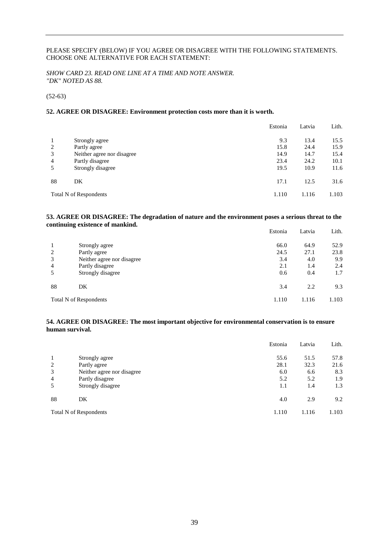#### PLEASE SPECIFY (BELOW) IF YOU AGREE OR DISAGREE WITH THE FOLLOWING STATEMENTS. CHOOSE ONE ALTERNATIVE FOR EACH STATEMENT:

*SHOW CARD 23. READ ONE LINE AT A TIME AND NOTE ANSWER. "DK" NOTED AS 88.*

(52-63)

#### **52. AGREE OR DISAGREE: Environment protection costs more than it is worth.**

|                |                               | Estonia | Latvia | Lith. |
|----------------|-------------------------------|---------|--------|-------|
| 1              | Strongly agree                | 9.3     | 13.4   | 15.5  |
| 2              | Partly agree                  | 15.8    | 24.4   | 15.9  |
| 3              | Neither agree nor disagree    | 14.9    | 14.7   | 15.4  |
| $\overline{4}$ | Partly disagree               | 23.4    | 24.2   | 10.1  |
| 5              | Strongly disagree             | 19.5    | 10.9   | 11.6  |
| 88             | DK                            | 17.1    | 12.5   | 31.6  |
|                | <b>Total N of Respondents</b> | 1.110   | 1.116  | 1.103 |

#### **53. AGREE OR DISAGREE: The degradation of nature and the environment poses a serious threat to the continuing existence of mankind.**

|                |                            | Estonia | Latvia | Lith. |
|----------------|----------------------------|---------|--------|-------|
|                | Strongly agree             | 66.0    | 64.9   | 52.9  |
| 2              | Partly agree               | 24.5    | 27.1   | 23.8  |
| 3              | Neither agree nor disagree | 3.4     | 4.0    | 9.9   |
| $\overline{4}$ | Partly disagree            | 2.1     | 1.4    | 2.4   |
| 5              | Strongly disagree          | 0.6     | 0.4    | 1.7   |
| 88             | DK                         | 3.4     | 2.2    | 9.3   |
|                | Total N of Respondents     | 1.110   | 1.116  | 1.103 |

#### **54. AGREE OR DISAGREE: The most important objective for environmental conservation is to ensure human survival.**

|    |                               | Estonia | Latvia | Lith. |
|----|-------------------------------|---------|--------|-------|
|    | Strongly agree                | 55.6    | 51.5   | 57.8  |
| 2  | Partly agree                  | 28.1    | 32.3   | 21.6  |
| 3  | Neither agree nor disagree    | 6.0     | 6.6    | 8.3   |
| 4  | Partly disagree               | 5.2     | 5.2    | 1.9   |
| 5  | Strongly disagree             | 1.1     | 1.4    | 1.3   |
| 88 | DK                            | 4.0     | 2.9    | 9.2   |
|    | <b>Total N of Respondents</b> | 1.110   | 1.116  | 1.103 |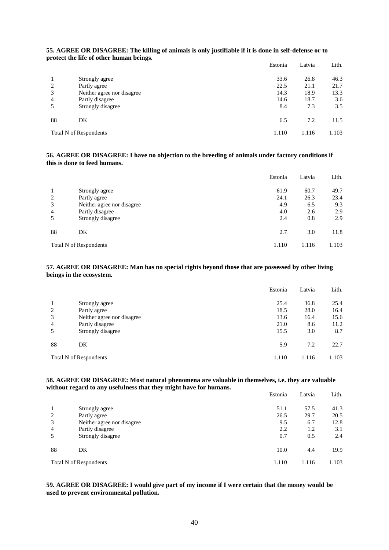|    |                               | Estonia | Latvia | Lith. |
|----|-------------------------------|---------|--------|-------|
|    | Strongly agree                | 33.6    | 26.8   | 46.3  |
| 2  | Partly agree                  | 22.5    | 21.1   | 21.7  |
| 3  | Neither agree nor disagree    | 14.3    | 18.9   | 13.3  |
| 4  | Partly disagree               | 14.6    | 18.7   | 3.6   |
|    | Strongly disagree             | 8.4     | 7.3    | 3.5   |
| 88 | DK                            | 6.5     | 7.2    | 11.5  |
|    | <b>Total N of Respondents</b> | 1.110   | 1.116  | 1.103 |

#### **55. AGREE OR DISAGREE: The killing of animals is only justifiable if it is done in self-defense or to protect the life of other human beings.**

#### **56. AGREE OR DISAGREE: I have no objection to the breeding of animals under factory conditions if this is done to feed humans.**

|                |                               | Estonia | Latvia | Lith. |
|----------------|-------------------------------|---------|--------|-------|
|                | Strongly agree                | 61.9    | 60.7   | 49.7  |
| 2              | Partly agree                  | 24.1    | 26.3   | 23.4  |
| 3              | Neither agree nor disagree    | 4.9     | 6.5    | 9.3   |
| $\overline{4}$ | Partly disagree               | 4.0     | 2.6    | 2.9   |
| 5              | Strongly disagree             | 2.4     | 0.8    | 2.9   |
| 88             | DK                            | 2.7     | 3.0    | 11.8  |
|                | <b>Total N of Respondents</b> | 1.110   | 1.116  | 1.103 |

#### **57. AGREE OR DISAGREE: Man has no special rights beyond those that are possessed by other living beings in the ecosystem.**

|                |                               | Estonia | Latvia | Lith. |
|----------------|-------------------------------|---------|--------|-------|
|                | Strongly agree                | 25.4    | 36.8   | 25.4  |
| 2              | Partly agree                  | 18.5    | 28.0   | 16.4  |
| 3              | Neither agree nor disagree    | 13.6    | 16.4   | 15.6  |
| $\overline{4}$ | Partly disagree               | 21.0    | 8.6    | 11.2  |
| 5              | Strongly disagree             | 15.5    | 3.0    | 8.7   |
| 88             | DK                            | 5.9     | 7.2    | 22.7  |
|                | <b>Total N of Respondents</b> | 1.110   | 1.116  | 1.103 |

#### **58. AGREE OR DISAGREE: Most natural phenomena are valuable in themselves, i.e. they are valuable without regard to any usefulness that they might have for humans.**

|    |                               | Estonia | Latvia | Lith. |
|----|-------------------------------|---------|--------|-------|
|    | Strongly agree                | 51.1    | 57.5   | 41.3  |
| 2  | Partly agree                  | 26.5    | 29.7   | 20.5  |
| 3  | Neither agree nor disagree    | 9.5     | 6.7    | 12.8  |
| 4  | Partly disagree               | 2.2     | 1.2    | 3.1   |
| 5  | Strongly disagree             | 0.7     | 0.5    | 2.4   |
| 88 | DK                            | 10.0    | 4.4    | 19.9  |
|    | <b>Total N of Respondents</b> | 1.110   | 1.116  | 1.103 |

#### **59. AGREE OR DISAGREE: I would give part of my income if I were certain that the money would be used to prevent environmental pollution.**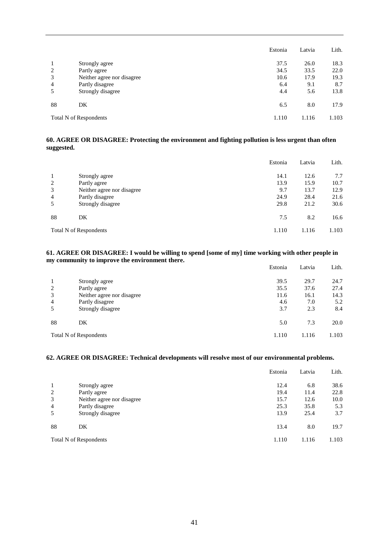|                |                                          | Estonia | Latvia | Lith. |
|----------------|------------------------------------------|---------|--------|-------|
| 1              | Strongly agree                           | 37.5    | 26.0   | 18.3  |
| 2              | Partly agree                             | 34.5    | 33.5   | 22.0  |
| 3              | Neither agree nor disagree               | 10.6    | 17.9   | 19.3  |
| $\overline{4}$ | Partly disagree                          | 6.4     | 9.1    | 8.7   |
| 5              | Strongly disagree                        | 4.4     | 5.6    | 13.8  |
| 88             | DK                                       | 6.5     | 8.0    | 17.9  |
|                | 1.116<br>1.110<br>Total N of Respondents |         | 1.103  |       |

#### **60. AGREE OR DISAGREE: Protecting the environment and fighting pollution is less urgent than often suggested.**

|                |                               | Estonia | Latvia | Lith. |
|----------------|-------------------------------|---------|--------|-------|
|                | Strongly agree                | 14.1    | 12.6   | 7.7   |
| 2              | Partly agree                  | 13.9    | 15.9   | 10.7  |
| 3              | Neither agree nor disagree    | 9.7     | 13.7   | 12.9  |
| $\overline{4}$ | Partly disagree               | 24.9    | 28.4   | 21.6  |
| 5              | Strongly disagree             | 29.8    | 21.2   | 30.6  |
| 88             | DK                            | 7.5     | 8.2    | 16.6  |
|                | <b>Total N of Respondents</b> | 1.110   | 1.116  | 1.103 |

#### **61. AGREE OR DISAGREE: I would be willing to spend [some of my] time working with other people in my community to improve the environment there.** Estonia Latvia Lith.

|    |                               | рзилна | Latvia | Litti. |
|----|-------------------------------|--------|--------|--------|
|    | Strongly agree                | 39.5   | 29.7   | 24.7   |
| 2  | Partly agree                  | 35.5   | 37.6   | 27.4   |
| 3  | Neither agree nor disagree    | 11.6   | 16.1   | 14.3   |
| 4  | Partly disagree               | 4.6    | 7.0    | 5.2    |
|    | Strongly disagree             | 3.7    | 2.3    | 8.4    |
| 88 | DK                            | 5.0    | 7.3    | 20.0   |
|    | <b>Total N of Respondents</b> | 1.110  | 1.116  | 1.103  |

#### **62. AGREE OR DISAGREE: Technical developments will resolve most of our environmental problems.**

|                |                             | Estonia | Latvia | Lith. |
|----------------|-----------------------------|---------|--------|-------|
|                | Strongly agree              | 12.4    | 6.8    | 38.6  |
| 2              | Partly agree                | 19.4    | 11.4   | 22.8  |
| 3              | Neither agree nor disagree. | 15.7    | 12.6   | 10.0  |
| $\overline{4}$ | Partly disagree             | 25.3    | 35.8   | 5.3   |
| 5              | Strongly disagree           | 13.9    | 25.4   | 3.7   |
| 88             | DK                          | 13.4    | 8.0    | 19.7  |
|                | Total N of Respondents      | 1.110   | 1.116  |       |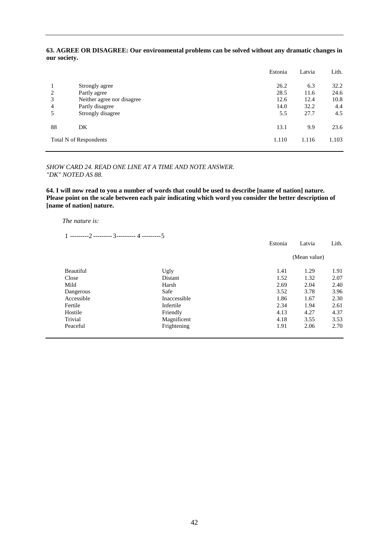#### **63. AGREE OR DISAGREE: Our environmental problems can be solved without any dramatic changes in our society.**

|                          |                                                                                 | Estonia                      | Latvia                      | Lith.                       |
|--------------------------|---------------------------------------------------------------------------------|------------------------------|-----------------------------|-----------------------------|
| 2<br>3<br>$\overline{4}$ | Strongly agree<br>Partly agree<br>Neither agree nor disagree<br>Partly disagree | 26.2<br>28.5<br>12.6<br>14.0 | 6.3<br>11.6<br>12.4<br>32.2 | 32.2<br>24.6<br>10.8<br>4.4 |
| 5                        | Strongly disagree                                                               | 5.5                          | 27.7                        | 4.5                         |
| 88                       | DK                                                                              | 13.1                         | 9.9                         | 23.6                        |
|                          | 1.116<br>1.110<br><b>Total N of Respondents</b>                                 |                              | 1.103                       |                             |

#### *SHOW CARD 24. READ ONE LINE AT A TIME AND NOTE ANSWER. "DK" NOTED AS 88.*

**64. I will now read to you a number of words that could be used to describe [name of nation] nature. Please point on the scale between each pair indicating which word you consider the better description of [name of nation] nature.**

#### *The nature is:*

1 ---------2 ---------3--------- 4 ---------5

|            |              | Estonia | Latvia       | Lith. |
|------------|--------------|---------|--------------|-------|
|            |              |         | (Mean value) |       |
| Beautiful  | Ugly         | 1.41    | 1.29         | 1.91  |
| Close      | Distant      | 1.52    | 1.32         | 2.07  |
| Mild       | Harsh        | 2.69    | 2.04         | 2.40  |
| Dangerous  | Safe         | 3.52    | 3.78         | 3.96  |
| Accessible | Inaccessible | 1.86    | 1.67         | 2.30  |
| Fertile    | Infertile    | 2.34    | 1.94         | 2.61  |
| Hostile    | Friendly     | 4.13    | 4.27         | 4.37  |
| Trivial    | Magnificent  | 4.18    | 3.55         | 3.53  |
| Peaceful   | Frightening  | 1.91    | 2.06         | 2.70  |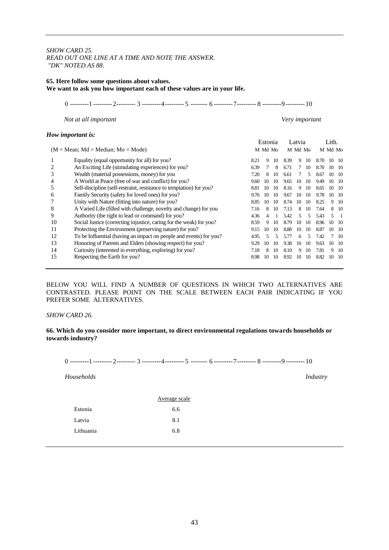#### *SHOW CARD 25. READ OUT ONE LINE AT A TIME AND NOTE THE ANSWER. "DK" NOTED AS 88.*

#### **65. Here follow some questions about values. We want to ask you how important each of these values are in your life.**

0 ---------1 ---------2--------- 3 ---------4--------- 5 -------- 6 ---------7--------- 8 ---------9 --------- 10

*Not at all important Very important*

#### *How important is:*

| $1000$ composition to:<br>$(M = Mean; Md = Median; Mo = Mode)$ |                                                                     |      | Estonia<br>M Md Mo |    | Latvia<br>M Md Mo |    |    | Lith.<br>M Md Mo |               |               |
|----------------------------------------------------------------|---------------------------------------------------------------------|------|--------------------|----|-------------------|----|----|------------------|---------------|---------------|
|                                                                | Equality (equal opportunity for all) for you?                       | 8.21 | 9                  | 10 | 8.39              | 9  | 10 | 8.70             | $10 \quad 10$ |               |
| 2                                                              | An Exciting Life (stimulating experiences) for you?                 | 6.39 |                    | 8  | 6.71              |    | 10 | 8.70             | 10 10         |               |
| 3                                                              | Wealth (material possessions, money) for you                        | 7.20 | 8                  | 10 | 6.61              |    | 5  | 8.67             | 10 10         |               |
| 4                                                              | A World at Peace (free of war and conflict) for you?                | 9.60 | 10                 | 10 | 9.65              | 10 | 10 | 9.49             | 10 10         |               |
| 5                                                              | Self-discipline (self-restraint, resistance to temptation) for you? | 8.81 | 10                 | 10 | 8.16              | 9  | 10 | 8.65             | 10            | - 10          |
| 6                                                              | Family Security (safety for loved ones) for you?                    | 9.76 | 10                 | 10 | 9.67              | 10 | 10 | 9.78             |               | $10 \quad 10$ |
|                                                                | Unity with Nature (fitting into nature) for you?                    | 8.85 | 10                 | 10 | 8.74              | 10 | 10 | 8.25             | 9             | - 10          |
| 8                                                              | A Varied Life (filled with challenge, novelty and change) for you   | 7.16 | 8                  | 10 | 7.13              | 8  | 10 | 7.64             | 8.            | - 10          |
| 9                                                              | Authority (the right to lead or command) for you?                   | 4.36 | 4                  |    | 5.42              | 5  | 5  | 5.43             | 5             |               |
| 10                                                             | Social Justice (correcting injustice, caring for the weak) for you? | 8.59 | 9                  | 10 | 8.79              | 10 | 10 | 8.96             | 10            | - 10          |
| 11                                                             | Protecting the Environment (preserving nature) for you?             | 9.15 | 10                 | 10 | 8.88              | 10 | 10 | 8.87             | 10            | - 10          |
| 12                                                             | To be Influential (having an impact on people and events) for you?  | 4.95 | 5                  | 5  | 5.77              | 6  | 5  | 7.42             |               | - 10          |
| 13                                                             | Honoring of Parents and Elders (showing respect) for you?           | 9.29 | 10                 | 10 | 9.38              | 10 | 10 | 9.63             | 10            | - 10          |
| 14                                                             | Curiosity (interested in everything, exploring) for you?            | 7.18 | 8                  | 10 | 8.10              | 9  | 10 | 7.81             | 9             | - 10          |
| 15                                                             | Respecting the Earth for you?                                       | 8.98 | 10                 | 10 | 8.92              | 10 | 10 | 8.82             | 10            | - 10          |
|                                                                |                                                                     |      |                    |    |                   |    |    |                  |               |               |

BELOW YOU WILL FIND A NUMBER OF QUESTIONS IN WHICH TWO ALTERNATIVES ARE CONTRASTED. PLEASE POINT ON THE SCALE BETWEEN EACH PAIR INDICATING IF YOU PREFER SOME ALTERNATIVES.

#### *SHOW CARD 26.*

#### **66. Which do you consider more important, to direct environmental regulations towards households or towards industry?**

0 ---------1 ---------2--------- 3 ---------4--------- 5 -------- 6 ---------7--------- 8 ---------9 --------- 10

*Households Industry*

|           | Average scale |
|-----------|---------------|
| Estonia   | 6.6           |
| Latvia    | 8.1           |
| Lithuania | 6.8           |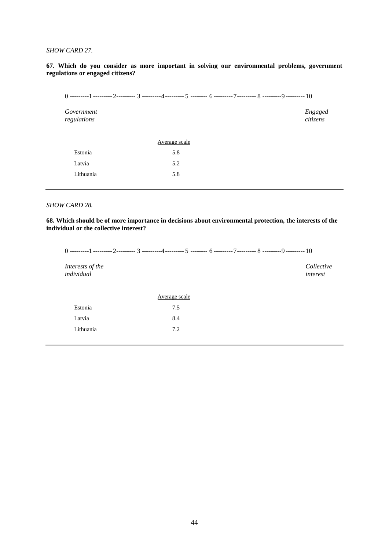#### *SHOW CARD 27.*

#### **67. Which do you consider as more important in solving our environmental problems, government regulations or engaged citizens?**

| Government<br>regulations |               | Engaged<br>citizens |
|---------------------------|---------------|---------------------|
|                           | Average scale |                     |
| Estonia                   | 5.8           |                     |
| Latvia                    | 5.2           |                     |

#### *SHOW CARD 28.*

Lithuania 5.8

**68. Which should be of more importance in decisions about environmental protection, the interests of the individual or the collective interest?**

0 ---------1 ---------2--------- 3 ---------4--------- 5 -------- 6 ---------7--------- 8 ---------9 --------- 10 *Interests of the Collective individual interest* Average scale Estonia 7.5 Latvia 8.4 Lithuania 7.2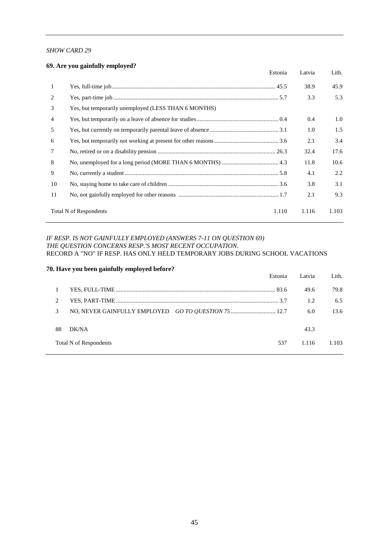#### *SHOW CARD 29*

#### **69. Are you gainfully employed?**

|                | Estonia                                              | Latvia | Lith. |
|----------------|------------------------------------------------------|--------|-------|
| 1              |                                                      | 38.9   | 45.9  |
| 2              |                                                      | 3.3    | 5.3   |
| 3              | Yes, but temporarily unemployed (LESS THAN 6 MONTHS) |        |       |
| $\overline{4}$ |                                                      | 0.4    | 1.0   |
| 5              |                                                      | 1.0    | 1.5   |
| 6              |                                                      | 2.1    | 3.4   |
| $\tau$         |                                                      | 32.4   | 17.6  |
| 8              |                                                      | 11.8   | 10.6  |
| 9              |                                                      | 4.1    | 2.2   |
| 10             |                                                      | 3.8    | 3.1   |
| 11             |                                                      | 2.1    | 9.3   |
|                | <b>Total N of Respondents</b><br>1.110               | 1.116  | 1.103 |

#### *IF RESP. IS NOT GAINFULLY EMPLOYED (ANSWERS 7-11 ON QUESTION 69) THE QUESTION CONCERNS RESP.'S MOST RECENT OCCUPATION.* RECORD A "NO" IF RESP. HAS ONLY HELD TEMPORARY JOBS DURING SCHOOL VACATIONS

#### **70. Have you been gainfully employed before?**

|    |                        | Estonia | Latvia | Lith. |
|----|------------------------|---------|--------|-------|
|    |                        |         | 49.6   | 79.8  |
|    |                        |         | 1.2.   | 6.5   |
|    |                        |         | 6.0    | 13.6  |
|    |                        |         |        |       |
| 88 | DK/NA                  |         | 43.3   |       |
|    | Total N of Respondents | 537     | 1.116  | 1.103 |
|    |                        |         |        |       |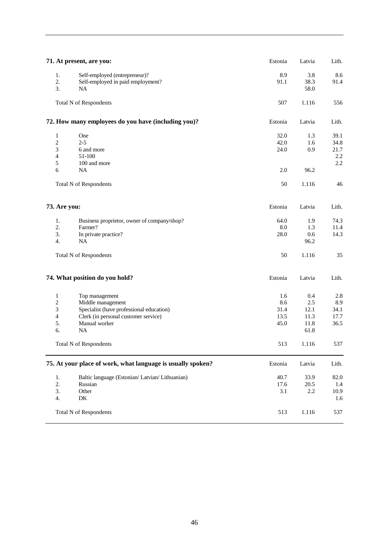|                                                            | 71. At present, are you:                                                                                                                             | Estonia                            | Latvia                                     | Lith.                              |
|------------------------------------------------------------|------------------------------------------------------------------------------------------------------------------------------------------------------|------------------------------------|--------------------------------------------|------------------------------------|
| 1.<br>2.<br>3.                                             | Self-employed (entrepreneur)?<br>Self-employed in paid employment?<br><b>NA</b>                                                                      | 8.9<br>91.1                        | 3.8<br>38.3<br>58.0                        | 8.6<br>91.4                        |
|                                                            | <b>Total N of Respondents</b>                                                                                                                        | 507                                | 1.116                                      | 556                                |
|                                                            | 72. How many employees do you have (including you)?                                                                                                  | Estonia                            | Latvia                                     | Lith.                              |
| $\mathbf{1}$<br>$\overline{c}$<br>3<br>$\overline{4}$<br>5 | One<br>$2 - 5$<br>6 and more<br>51-100<br>100 and more                                                                                               | 32.0<br>42.0<br>24.0               | 1.3<br>1.6<br>0.9                          | 39.1<br>34.8<br>21.7<br>2.2<br>2.2 |
| 6                                                          | <b>NA</b><br><b>Total N of Respondents</b>                                                                                                           | 2.0<br>50                          | 96.2<br>1.116                              | 46                                 |
| 73. Are you:                                               |                                                                                                                                                      |                                    | Latvia                                     | Lith.                              |
| 1.<br>2.<br>3.<br>4.                                       | Business proprietor, owner of company/shop?<br>Farmer?<br>In private practice?<br><b>NA</b><br><b>Total N of Respondents</b>                         | 64.0<br>$\ \, 8.0$<br>28.0<br>50   | 1.9<br>1.3<br>0.6<br>96.2<br>1.116         | 74.3<br>11.4<br>14.3<br>35         |
|                                                            | 74. What position do you hold?                                                                                                                       | Estonia                            | Latvia                                     | Lith.                              |
| $\mathbf{1}$<br>$\overline{c}$<br>3<br>4<br>5.<br>6.       | Top management<br>Middle management<br>Specialist (have professional education)<br>Clerk (in personal customer service)<br>Manual worker<br>$\rm NA$ | 1.6<br>8.6<br>31.4<br>13.5<br>45.0 | 0.4<br>2.5<br>12.1<br>11.3<br>11.8<br>61.8 | 2.8<br>8.9<br>34.1<br>17.7<br>36.5 |
|                                                            | <b>Total N of Respondents</b>                                                                                                                        | 513                                | 1.116                                      | 537                                |
|                                                            | 75. At your place of work, what language is usually spoken?                                                                                          | Estonia                            | Latvia                                     | Lith.                              |
| 1.<br>2.<br>3.<br>4.                                       | Baltic language (Estonian/ Latvian/ Lithuanian)<br>Russian<br>Other<br>DK                                                                            | 40.7<br>17.6<br>3.1                | 33.9<br>20.5<br>2.2                        | 82.0<br>1.4<br>10.9<br>1.6         |
|                                                            | <b>Total N of Respondents</b>                                                                                                                        | 513                                | 1.116                                      | 537                                |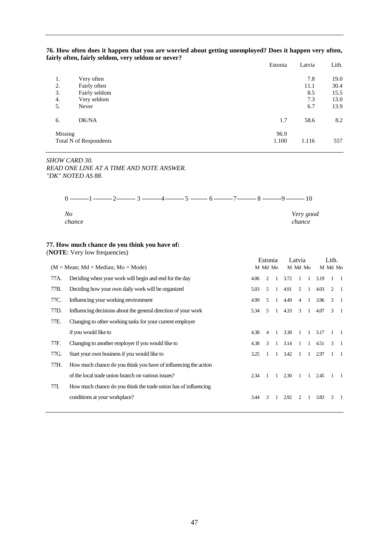| 76. How often does it happen that you are worried about getting unemployed? Does it happen very often, |  |  |
|--------------------------------------------------------------------------------------------------------|--|--|
| fairly often, fairly seldom, very seldom or never?                                                     |  |  |
|                                                                                                        |  |  |

|          |                               | Estonia       | Latvia      | Lith.        |
|----------|-------------------------------|---------------|-------------|--------------|
| 1.<br>2. | Very often<br>Fairly often    |               | 7.8<br>11.1 | 19.0<br>30.4 |
| 3.       | Fairly seldom                 |               | 8.5         | 15.5         |
| 4.       | Very seldom                   |               | 7.3         | 13.0         |
| 5.       | Never                         |               | 6.7         | 13.9         |
| 6.       | DK/NA                         | 1.7           | 58.6        | 8.2          |
| Missing  | <b>Total N of Respondents</b> | 96.9<br>1.100 | 1.116       | 557          |

*SHOW CARD 30. READ ONE LINE AT A TIME AND NOTE ANSWER. "DK" NOTED AS 88.*

| No<br>chance |  | Very good<br>chance |
|--------------|--|---------------------|

#### **77. How much chance do you think you have of:**

(**NOTE**: Very low frequencies)

|      |                                                                 | Estonia |                |                | Latvia |                |                | Lith. |             |                |
|------|-----------------------------------------------------------------|---------|----------------|----------------|--------|----------------|----------------|-------|-------------|----------------|
|      | $(M = Mean; Md = Median; Mo = Mode)$                            |         | M Md Mo        |                |        | M Md Mo        |                |       | M Md Mo     |                |
| 77A. | Deciding when your work will begin and end for the day          | 4.06    | 2              |                | 3.72   | 1              | $\overline{1}$ | 3.19  |             | $\blacksquare$ |
| 77B. | Deciding how your own daily work will be organized              | 5.03    | 5              | 1              | 4.91   | 5              | $\overline{1}$ | 4.03  | 2           | $\blacksquare$ |
| 77C. | Influencing your working environment                            | 4.99    | $\overline{5}$ | $\mathbf{1}$   | 4.49   | $\overline{4}$ | -1             | 3.96  | $3 \quad 1$ |                |
| 77D. | Influencing decisions about the general direction of your work  | 5.34    | $\sim$         | $\mathbf{1}$   | 4.33   | 3              | $\overline{1}$ | 4.07  | $3 \quad 1$ |                |
| 77E. | Changing to other working tasks for your current employer       |         |                |                |        |                |                |       |             |                |
|      | if you would like to                                            | 4.38    | $\overline{4}$ | -1             | 3.38   | $\mathbf{1}$   | $\overline{1}$ | 3.17  |             |                |
| 77F. | Changing to another employer if you would like to               | 4.38    | 3              | $\overline{1}$ | 3.14   | $\overline{1}$ | $\overline{1}$ | 4.51  | 3           | $\blacksquare$ |
| 77G. | Start your own business if you would like to                    | 3.25    |                | 1              | 3.42   | 1              | $\mathbf{1}$   | 2.97  |             | $\blacksquare$ |
| 77H. | How much chance do you think you have of influencing the action |         |                |                |        |                |                |       |             |                |
|      | of the local trade union branch on various issues?              | 2.34    |                |                | 2.30   | -1             | 1              | 2.45  |             |                |
| 77I. | How much chance do you think the trade union has of influencing |         |                |                |        |                |                |       |             |                |
|      | conditions at your workplace?                                   | 3.44    | 3              |                | 2.92   | $\mathfrak{D}$ | 1              | 3.83  | 3           | - 1            |
|      |                                                                 |         |                |                |        |                |                |       |             |                |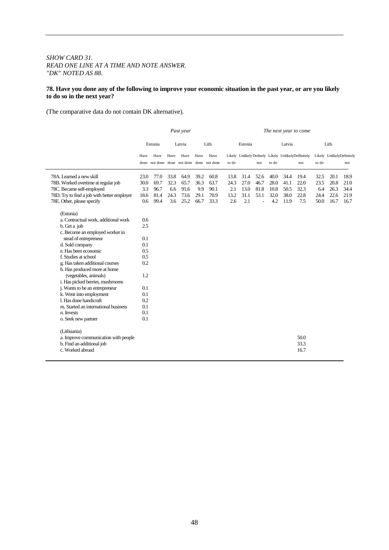#### *SHOW CARD 31. READ ONE LINE AT A TIME AND NOTE ANSWER. "DK" NOTED AS 88.*

#### **78. Have you done any of the following to improve your economic situation in the past year, or are you likely to do so in the next year?**

(The comparative data do not contain DK alternative).

|                                             | Past year    |         |      |                                              |      |       | The next year to come |         |      |       |        |                                                            |       |                           |      |
|---------------------------------------------|--------------|---------|------|----------------------------------------------|------|-------|-----------------------|---------|------|-------|--------|------------------------------------------------------------|-------|---------------------------|------|
|                                             |              | Estonia |      | Latvia                                       |      | Lith. |                       | Estonia |      |       | Latvia |                                                            |       | Lith.                     |      |
|                                             | Have<br>done | Have    | Have | Have<br>not done done not done done not done | Have | Have  | to do                 |         | not  | to do |        | Likely Unlikely Definely Likely UnlikelyDeffinitely<br>not | to do | Likely UnlikelyDefinitely | not  |
| 78A. Learned a new skill                    | 23.0         | 77.0    | 33.8 | 64.9                                         | 39.2 | 60.8  | 13.8                  | 31.4    | 52.6 | 40.0  | 34.4   | 19.4                                                       | 32.5  | 20.1                      | 18.9 |
| 78B. Worked overtime at regular job         | 30.0         | 69.7    | 32.3 | 65.7                                         | 36.3 | 63.7  | 24.3                  | 27.0    | 46.7 | 28.0  | 41.1   | 22.0                                                       | 23.5  | 20.8                      | 21.0 |
| 78C. Became self-employed                   | 3.3          | 96.7    | 6.6  | 91.6                                         | 9.9  | 90.1  | 2.1                   | 13.0    | 81.8 | 10.8  | 50.5   | 32.3                                                       | 6.4   | 26.3                      | 34.4 |
| 78D. Try to find a job with better employer | 18.6         | 81.4    | 24.3 | 73.6                                         | 29.1 | 70.9  | 13.2                  | 31.1    | 53.1 | 32.0  | 38.0   | 22.8                                                       | 24.4  | 22.6                      | 21.9 |
| 78E. Other, please specify                  | 0.6          | 99.4    | 3.6  | 25.2                                         | 66.7 | 33.3  | 2.6                   | 2.1     | L,   | 4.2   | 11.9   | 7.5                                                        | 50.0  | 16.7                      | 16.7 |
|                                             |              |         |      |                                              |      |       |                       |         |      |       |        |                                                            |       |                           |      |
| (Estonia)                                   |              |         |      |                                              |      |       |                       |         |      |       |        |                                                            |       |                           |      |
| a. Contractual work, additional work        | 0.6          |         |      |                                              |      |       |                       |         |      |       |        |                                                            |       |                           |      |
| b. Get a job                                | 2.5          |         |      |                                              |      |       |                       |         |      |       |        |                                                            |       |                           |      |
| c. Become an employed worker in             |              |         |      |                                              |      |       |                       |         |      |       |        |                                                            |       |                           |      |
| stead of entrepreneur                       | 0.1          |         |      |                                              |      |       |                       |         |      |       |        |                                                            |       |                           |      |
| d. Sold company                             | 0.1          |         |      |                                              |      |       |                       |         |      |       |        |                                                            |       |                           |      |
| e. Has been economic                        | 0.5          |         |      |                                              |      |       |                       |         |      |       |        |                                                            |       |                           |      |
| f. Studies at school                        | 0.5          |         |      |                                              |      |       |                       |         |      |       |        |                                                            |       |                           |      |
| g. Has taken additional courses             | 0.2          |         |      |                                              |      |       |                       |         |      |       |        |                                                            |       |                           |      |
| h. Has produced more at home                |              |         |      |                                              |      |       |                       |         |      |       |        |                                                            |       |                           |      |
| (vegetables, animals)                       | 1.2          |         |      |                                              |      |       |                       |         |      |       |        |                                                            |       |                           |      |
| i. Has picked berries, mushrooms            |              |         |      |                                              |      |       |                       |         |      |       |        |                                                            |       |                           |      |
| j. Wants to be an entrepreneur              | 0.1          |         |      |                                              |      |       |                       |         |      |       |        |                                                            |       |                           |      |
| k. Went into employment                     | 0.1          |         |      |                                              |      |       |                       |         |      |       |        |                                                            |       |                           |      |
| 1. Has done handicraft                      | 0.2          |         |      |                                              |      |       |                       |         |      |       |        |                                                            |       |                           |      |
| m. Started an international business        | 0.1          |         |      |                                              |      |       |                       |         |      |       |        |                                                            |       |                           |      |
| n. Invests                                  | 0.1          |         |      |                                              |      |       |                       |         |      |       |        |                                                            |       |                           |      |
| o. Seek new partner                         | 0.1          |         |      |                                              |      |       |                       |         |      |       |        |                                                            |       |                           |      |
| (Lithuania)                                 |              |         |      |                                              |      |       |                       |         |      |       |        |                                                            |       |                           |      |
| a. Improve communication with people        |              |         |      |                                              |      |       |                       |         |      |       |        | 50.0                                                       |       |                           |      |
| b. Find an additional job                   |              |         |      |                                              |      |       |                       |         |      |       |        | 33.3                                                       |       |                           |      |
| c. Worked abroad                            |              |         |      |                                              |      |       |                       |         |      |       |        | 16.7                                                       |       |                           |      |
|                                             |              |         |      |                                              |      |       |                       |         |      |       |        |                                                            |       |                           |      |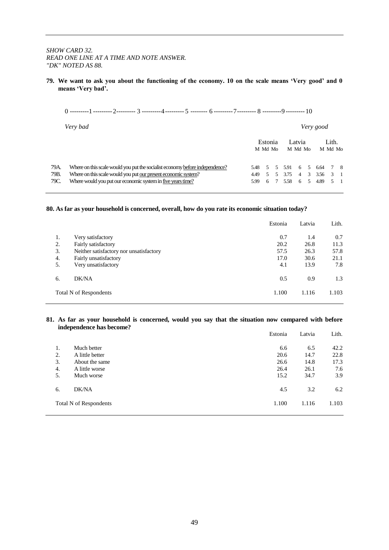#### *SHOW CARD 32. READ ONE LINE AT A TIME AND NOTE ANSWER. "DK" NOTED AS 88.*

**79. We want to ask you about the functioning of the economy. 10 on the scale means 'Very good' and 0 means 'Very bad'.**

| ---------- | --------- | ---------- |  | --------- |  |  |  |
|------------|-----------|------------|--|-----------|--|--|--|
|            |           |            |  |           |  |  |  |

|      | Very bad                                                                     |        |                    |        |                   | Very good |                  |             |
|------|------------------------------------------------------------------------------|--------|--------------------|--------|-------------------|-----------|------------------|-------------|
|      |                                                                              |        | Estonia<br>M Md Mo |        | Latvia<br>M Md Mo |           | Lith.<br>M Md Mo |             |
| 79A. | Where on this scale would you put the socialist economy before independence? | 5.48 5 |                    | 5 5.91 |                   | 6 5 6.64  | 78               |             |
| 79B. | Where on this scale would you put our present economic system?               | 4.49   | .5                 | 5 3.75 | $\overline{4}$    | 3 3.56    |                  | $3 \quad 1$ |
| 79C. | Where would you put our economic system in five years time?                  | 5.99   | 6                  | 7 5.58 | 6                 | 5 4.89    |                  | $5 \quad 1$ |

#### **80. As far as your household is concerned, overall, how do you rate its economic situation today?**

|    |                                         | Estonia | Latvia | Lith. |
|----|-----------------------------------------|---------|--------|-------|
| 1. | Very satisfactory                       | 0.7     | 1.4    | 0.7   |
| 2. | Fairly satisfactory                     | 20.2    | 26.8   | 11.3  |
| 3. | Neither satisfactory nor unsatisfactory | 57.5    | 26.3   | 57.8  |
| 4. | Fairly unsatisfactory                   | 17.0    | 30.6   | 21.1  |
| 5. | Very unsatisfactory                     | 4.1     | 13.9   | 7.8   |
| 6. | DK/NA                                   | 0.5     | 0.9    | 1.3   |
|    | Total N of Respondents                  | 1.100   | 1.116  | 1.103 |

#### **81. As far as your household is concerned, would you say that the situation now compared with before independence has become?**

|    |                        | Estonia | Latvia | Lith. |
|----|------------------------|---------|--------|-------|
| 1. | Much better            | 6.6     | 6.5    | 42.2  |
| 2. | A little better        | 20.6    | 14.7   | 22.8  |
| 3. | About the same         | 26.6    | 14.8   | 17.3  |
| 4. | A little worse         | 26.4    | 26.1   | 7.6   |
| 5. | Much worse             | 15.2    | 34.7   | 3.9   |
| 6. | DK/NA                  | 4.5     | 3.2    | 6.2   |
|    | Total N of Respondents | 1.100   | 1.116  | 1.103 |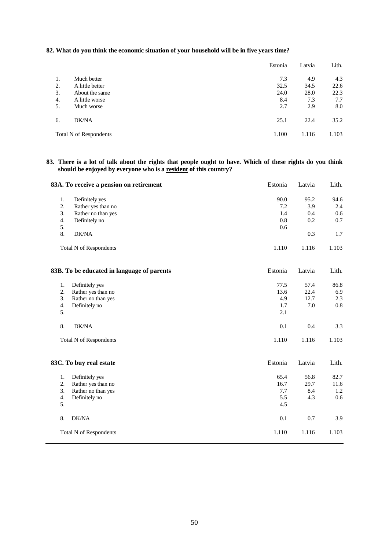#### **82. What do you think the economic situation of your household will be in five years time?**

|    |                        | Estonia | Latvia | Lith. |
|----|------------------------|---------|--------|-------|
| 1. | Much better            | 7.3     | 4.9    | 4.3   |
| 2. | A little better        | 32.5    | 34.5   | 22.6  |
| 3. | About the same         | 24.0    | 28.0   | 22.3  |
| 4. | A little worse         | 8.4     | 7.3    | 7.7   |
| 5. | Much worse             | 2.7     | 2.9    | 8.0   |
| 6. | DK/NA                  | 25.1    | 22.4   | 35.2  |
|    | Total N of Respondents | 1.100   | 1.116  | 1.103 |

#### **83. There is a lot of talk about the rights that people ought to have. Which of these rights do you think should be enjoyed by everyone who is a resident of this country?**

|                               | 83A. To receive a pension on retirement    | Estonia | Latvia | Lith. |
|-------------------------------|--------------------------------------------|---------|--------|-------|
| 1.<br>Definitely yes          |                                            | 90.0    | 95.2   | 94.6  |
| 2.<br>Rather yes than no      |                                            | 7.2     | 3.9    | 2.4   |
| 3.<br>Rather no than yes      |                                            | 1.4     | 0.4    | 0.6   |
| Definitely no<br>4.           |                                            | 0.8     | 0.2    | 0.7   |
| 5.                            |                                            | 0.6     |        |       |
| 8.<br>DK/NA                   |                                            |         | 0.3    | 1.7   |
| <b>Total N of Respondents</b> |                                            | 1.110   | 1.116  | 1.103 |
|                               | 83B. To be educated in language of parents | Estonia | Latvia | Lith. |
| 1.<br>Definitely yes          |                                            | 77.5    | 57.4   | 86.8  |
| 2.<br>Rather yes than no      |                                            | 13.6    | 22.4   | 6.9   |
| 3.<br>Rather no than yes      |                                            | 4.9     | 12.7   | 2.3   |
| 4.<br>Definitely no           |                                            | 1.7     | 7.0    | 0.8   |
| 5.                            |                                            | 2.1     |        |       |
| DK/NA<br>8.                   |                                            | 0.1     | 0.4    | 3.3   |
| <b>Total N of Respondents</b> |                                            | 1.110   | 1.116  | 1.103 |
| 83C. To buy real estate       |                                            | Estonia | Latvia | Lith. |
| Definitely yes<br>1.          |                                            | 65.4    | 56.8   | 82.7  |
| Rather yes than no<br>2.      |                                            | 16.7    | 29.7   | 11.6  |
| Rather no than yes<br>3.      |                                            | 7.7     | 8.4    | 1.2   |
| 4.<br>Definitely no           |                                            | 5.5     | 4.3    | 0.6   |
| 5.                            |                                            | 4.5     |        |       |
| DK/NA<br>8.                   |                                            | 0.1     | 0.7    | 3.9   |
| <b>Total N of Respondents</b> |                                            | 1.110   | 1.116  | 1.103 |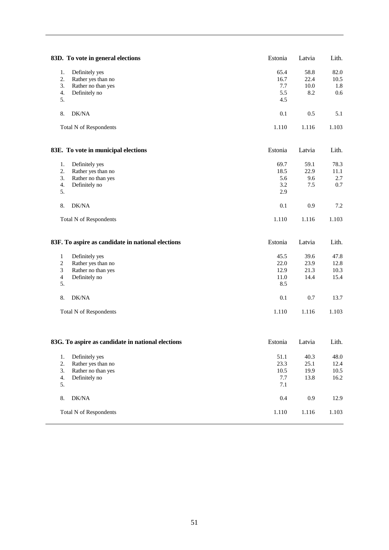| 83D. To vote in general elections                                                                                                      | Estonia                                | Latvia                       | Lith.                            |
|----------------------------------------------------------------------------------------------------------------------------------------|----------------------------------------|------------------------------|----------------------------------|
| 1.<br>Definitely yes<br>2.<br>Rather yes than no<br>Rather no than yes<br>3.<br>4.<br>Definitely no<br>5.                              | 65.4<br>16.7<br>7.7<br>5.5<br>4.5      | 58.8<br>22.4<br>10.0<br>8.2  | 82.0<br>10.5<br>1.8<br>0.6       |
| 8.<br>DK/NA                                                                                                                            | 0.1                                    | 0.5                          | 5.1                              |
| Total N of Respondents                                                                                                                 | 1.110                                  | 1.116                        | 1.103                            |
| 83E. To vote in municipal elections                                                                                                    | Estonia                                | Latvia                       | Lith.                            |
| 1.<br>Definitely yes<br>2.<br>Rather yes than no<br>3.<br>Rather no than yes<br>4.<br>Definitely no<br>5.                              | 69.7<br>18.5<br>5.6<br>3.2<br>2.9      | 59.1<br>22.9<br>9.6<br>7.5   | 78.3<br>11.1<br>2.7<br>$0.7\,$   |
| DK/NA<br>8.                                                                                                                            | 0.1                                    | 0.9                          | 7.2                              |
| <b>Total N of Respondents</b>                                                                                                          | 1.110                                  | 1.116                        | 1.103                            |
|                                                                                                                                        |                                        |                              |                                  |
| 83F. To aspire as candidate in national elections                                                                                      | Estonia                                | Latvia                       | Lith.                            |
| $\mathbf{1}$<br>Definitely yes<br>2<br>Rather yes than no<br>Rather no than yes<br>3<br>$\overline{\mathbf{4}}$<br>Definitely no<br>5. | 45.5<br>22.0<br>12.9<br>11.0<br>8.5    | 39.6<br>23.9<br>21.3<br>14.4 | 47.8<br>12.8<br>10.3<br>15.4     |
| DK/NA<br>8.<br><b>Total N of Respondents</b>                                                                                           | 0.1<br>1.110                           | 0.7<br>1.116                 | 13.7<br>1.103                    |
| 83G. To aspire as candidate in national elections                                                                                      | Estonia                                | Latvia                       | Lith.                            |
| $1.$<br>Definitely yes<br>2.<br>Rather yes than no<br>Rather no than yes<br>3.<br>Definitely no<br>4.<br>5.                            | 51.1<br>23.3<br>10.5<br>7.7<br>$7.1\,$ | 40.3<br>25.1<br>19.9<br>13.8 | 48.0<br>12.4<br>$10.5\,$<br>16.2 |
| $\rm DK/NA$<br>8.                                                                                                                      | $0.4\,$                                | $0.9\,$                      | 12.9                             |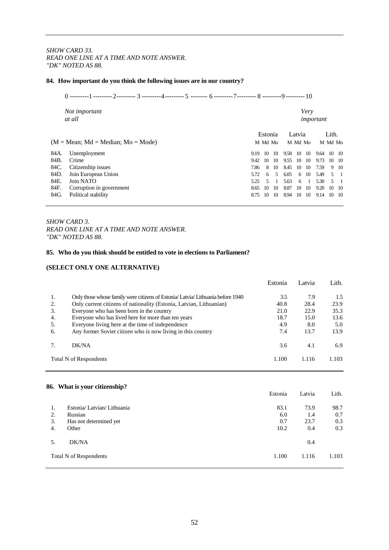*SHOW CARD 33. READ ONE LINE AT A TIME AND NOTE ANSWER. "DK" NOTED AS 88.*

#### **84. How important do you think the following issues are in our country?**

|      | Not important<br>at all              |      |         |      |      | Very<br>important |                |            |         |                          |
|------|--------------------------------------|------|---------|------|------|-------------------|----------------|------------|---------|--------------------------|
|      |                                      |      | Estonia |      |      | Latvia            |                |            | Lith.   |                          |
|      | $(M = Mean; Md = Median; Mo = Mode)$ |      | M Md Mo |      |      | M Md Mo           |                |            | M Md Mo |                          |
| 84A. | Unemployment                         | 9.19 | 10      | -10  | 9.58 | 10 10             |                | 9.64 10 10 |         |                          |
| 84B. | Crime                                | 9.42 | 10      | - 10 | 9.55 | 10 10             |                | 9.73       | 10 10   |                          |
| 84C. | Citizenship issues                   | 7.86 | 8       | 10   | 8.45 | $10 \quad 10$     |                | 7.59       |         | 9 10                     |
| 84D. | Join European Union                  | 5.72 | 6       | .5   | 6.05 |                   | 6 10           | 5.49       |         | $5 \quad 1$              |
| 84E. | Join NATO                            | 5.25 | 5.      |      | 5.63 | 6                 | $\overline{1}$ | 5.30       | .5      | $\overline{\phantom{0}}$ |
| 84F. | Corruption in government             | 8.65 | 10      | -10  | 8.87 | 10 10             |                | 9.20       | 10 10   |                          |
| 84G. | Political stability                  | 8.75 | 10      | 10   | 8.94 | 10                | - 10           | 9.14       | 10 10   |                          |

#### *SHOW CARD 3. READ ONE LINE AT A TIME AND NOTE ANSWER. "DK" NOTED AS 88.*

#### **85. Who do you think should be entitled to vote in elections to Parliament?**

#### **(SELECT ONLY ONE ALTERNATIVE)**

|    |                                                                                 | Estonia | Latvia | Lith. |
|----|---------------------------------------------------------------------------------|---------|--------|-------|
| 1. | Only those whose family were citizens of Estonia/ Latvia/ Lithuania before 1940 | 3.5     | 7.9    | 1.5   |
| 2. | Only current citizens of nationality (Estonia, Latvian, Lithuanian)             | 40.8    | 28.4   | 23.9  |
| 3. | Everyone who has been born in the country                                       | 21.0    | 22.9   | 35.3  |
| 4. | Everyone who has lived here for more than ten years                             | 18.7    | 15.0   | 13.6  |
| 5. | Everyone living here at the time of independence                                | 4.9     | 8.0    | 5.0   |
| 6. | Any former Soviet citizen who is now living in this country                     | 7.4     | 13.7   | 13.9  |
|    | DK/NA                                                                           | 3.6     | 4.1    | 6.9   |
|    | Total N of Respondents                                                          | 1.100   | 1.116  | 1.103 |

#### **86. What is your citizenship?**

|    |                           | Estonia | Latvia | Lith. |
|----|---------------------------|---------|--------|-------|
| 1. | Estonia/Latvian/Lithuania | 83.1    | 73.9   | 98.7  |
| 2. | Russian                   | 6.0     | 1.4    | 0.7   |
| 3. | Has not determined yet    | 0.7     | 23.7   | 0.3   |
| 4. | Other                     | 10.2    | 0.4    | 0.3   |
| 5. | DK/NA                     |         | 0.4    |       |
|    | Total N of Respondents    | 1.100   | 1.116  | 1.103 |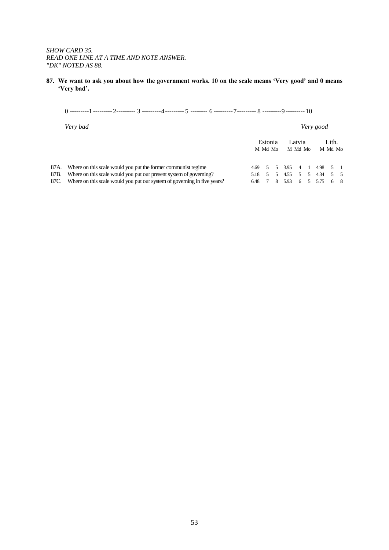#### *SHOW CARD 35. READ ONE LINE AT A TIME AND NOTE ANSWER. "DK" NOTED AS 88.*

**87. We want to ask you about how the government works. 10 on the scale means 'Very good' and 0 means 'Very bad'.**

|  | Very good |                                                          |  |  |                   |                                                                                       |
|--|-----------|----------------------------------------------------------|--|--|-------------------|---------------------------------------------------------------------------------------|
|  |           |                                                          |  |  |                   |                                                                                       |
|  |           |                                                          |  |  |                   |                                                                                       |
|  | 4.69      | Estonia<br>M Md Mo<br>5 <sup>5</sup><br>5.18 5<br>6.48 7 |  |  | Latvia<br>M Md Mo | Lith.<br>M Md Mo<br>5 3.95 4 1 4.98 5 1<br>5 4.55 5 5 4.34 5 5<br>8 5.93 6 5 5.75 6 8 |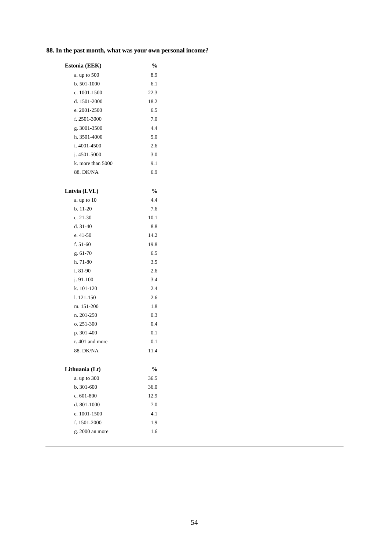# **88. In the past month, what was your own personal income?**

| Estonia (EEK)       | %    |
|---------------------|------|
| a. up to 500        | 8.9  |
| $b.501-1000$        | 6.1  |
| c. $1001 - 1500$    | 22.3 |
| d. 1501-2000        | 18.2 |
| e. 2001-2500        | 6.5  |
| f. $2501 - 3000$    | 7.0  |
| g. 3001-3500        | 44   |
| h. 3501-4000        | 5.0  |
| i. $4001 - 4500$    | 2.6  |
| $i.4501 - 5000$     | 3.0  |
| k. more than $5000$ | 9.1  |
| 88. DK/NA           | 6.9  |
|                     |      |

| Latvia (LVL)    | $\frac{0}{0}$ |
|-----------------|---------------|
| a. up to $10$   | 4.4           |
| $b. 11-20$      | 7.6           |
| $c. 21-30$      | 10.1          |
| $d.31-40$       | 8.8           |
| e. 41-50        | 14.2          |
| f. $51-60$      | 19.8          |
| g. 61-70        | 6.5           |
| h. 71-80        | 3.5           |
| i. 81-90        | 2.6           |
| $i.91-100$      | 3.4           |
| k. 101-120      | 2.4           |
| 1.121-150       | 2.6           |
| m. 151-200      | 1.8           |
| n. 201-250      | 0.3           |
| o. 251-300      | 0.4           |
| p. 301-400      | 0.1           |
| r. 401 and more | 0.1           |
| 88. DK/NA       | 11.4          |
| Lithuania (Lt)  | $\frac{0}{0}$ |
| a. up to 300    | 36.5          |
| b. 301-600      | 36.0          |
| c. 601-800      | 12.9          |
| d. 801-1000     | 7.0           |
| e. 1001-1500    | 4.1           |
| f. 1501-2000    | 1.9           |
| g. 2000 an more | 1.6           |
|                 |               |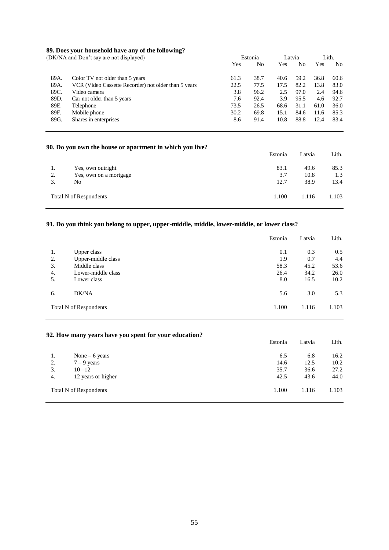#### **89. Does your household have any of the following?**

| (DK/NA and Don't say are not displayed) |                                                      |      | Estonia |      | Latvia |      | Lith. |
|-----------------------------------------|------------------------------------------------------|------|---------|------|--------|------|-------|
|                                         |                                                      | Yes  | No      | Yes  | No     | Yes  | No    |
| 89A.                                    | Color TV not older than 5 years                      | 61.3 | 38.7    | 40.6 | 59.2   | 36.8 | 60.6  |
| 89A.                                    | VCR (Video Cassette Recorder) not older than 5 years | 22.5 | 77.5    | 17.5 | 82.2   | 13.8 | 83.0  |
| 89C.                                    | Video camera                                         | 3.8  | 96.2    | 2.5  | 97.0   | 2.4  | 94.6  |
| 89D.                                    | Car not older than 5 years                           | 7.6  | 92.4    | 3.9  | 95.5   | 4.6  | 92.7  |
| 89E.                                    | Telephone                                            | 73.5 | 26.5    | 68.6 | 31.1   | 61.0 | 36.0  |
| 89F.                                    | Mobile phone                                         | 30.2 | 69.8    | 15.1 | 84.6   | 11.6 | 85.3  |
| 89G.                                    | Shares in enterprises                                | 8.6  | 91.4    | 10.8 | 88.8   | 12.4 | 83.4  |

#### **90. Do you own the house or apartment in which you live?**

|                        |                        | Estonia | Latvia | Lith. |
|------------------------|------------------------|---------|--------|-------|
| 1.                     | Yes, own outright      | 83.1    | 49.6   | 85.3  |
| 2.                     | Yes, own on a mortgage | 3.7     | 10.8   | 1.3   |
| 3.                     | No                     | 12.7    | 38.9   | 13.4  |
| Total N of Respondents |                        | 1.100   | 1.116  | 1.103 |

#### **91. Do you think you belong to upper, upper-middle, middle, lower-middle, or lower class?**

|                        |                    | Estonia | Latvia | Lith. |
|------------------------|--------------------|---------|--------|-------|
| 1.                     | Upper class        | 0.1     | 0.3    | 0.5   |
| 2.                     | Upper-middle class | 1.9     | 0.7    | 4.4   |
| 3.                     | Middle class       | 58.3    | 45.2   | 53.6  |
| 4.                     | Lower-middle class | 26.4    | 34.2   | 26.0  |
| 5.                     | Lower class        | 8.0     | 16.5   | 10.2  |
| 6.                     | DK/NA              | 5.6     | 3.0    | 5.3   |
| Total N of Respondents |                    | 1.100   | 1.116  | 1.103 |

#### **92. How many years have you spent for your education?**

|    |                        | Estonia | Latvia | Lith. |
|----|------------------------|---------|--------|-------|
| 1. | None $-6$ years        | 6.5     | 6.8    | 16.2  |
| 2. | $7 - 9$ years          | 14.6    | 12.5   | 10.2  |
| 3. | $10 - 12$              | 35.7    | 36.6   | 27.2  |
| 4. | 12 years or higher     | 42.5    | 43.6   | 44.0  |
|    | Total N of Respondents | 1.100   | 1.116  | 1.103 |